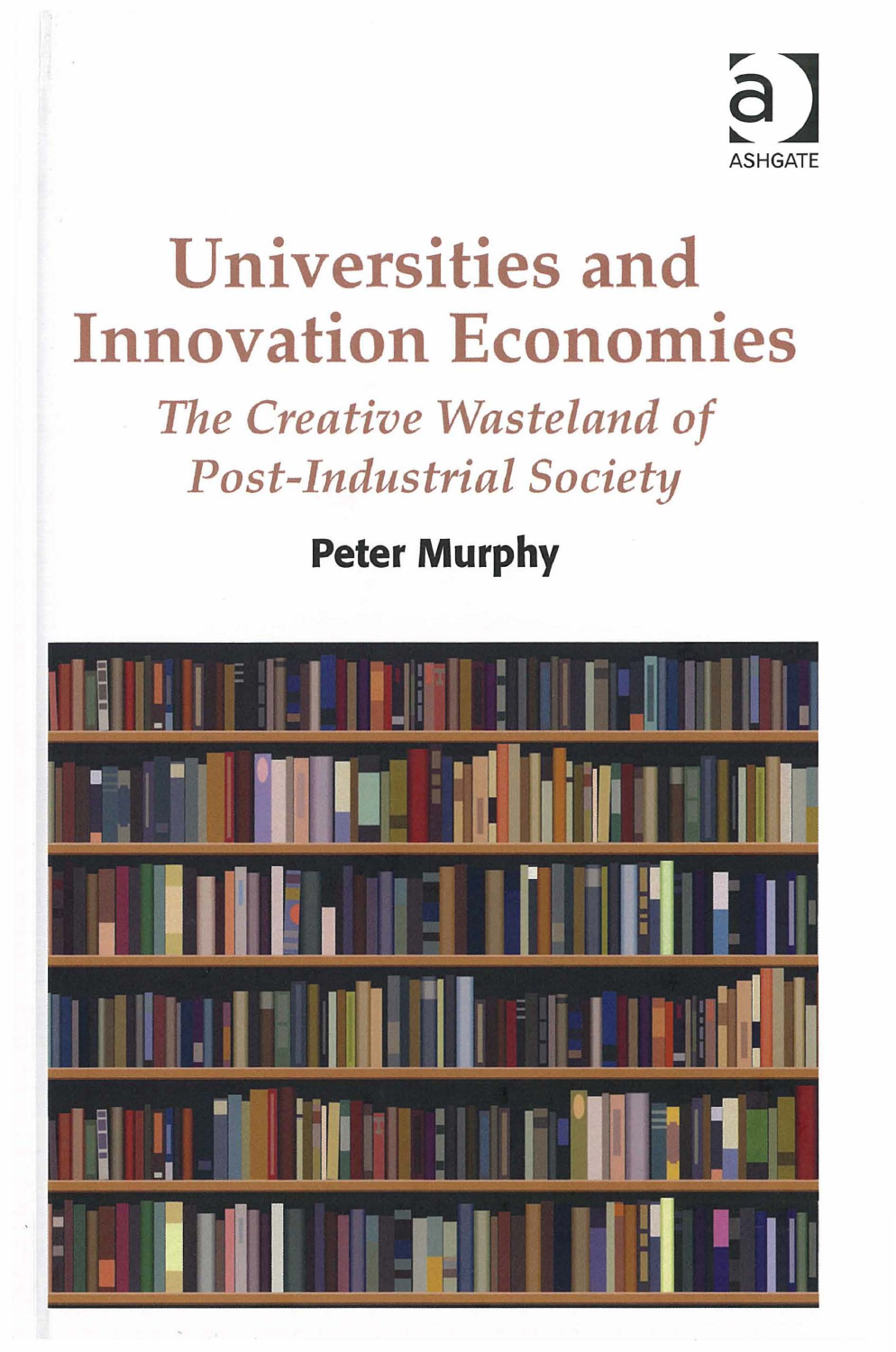# **Universities and Innovation Economies**

*The Creative Wasteland of Post-Industrial Society* 

**Peter Murphy** 

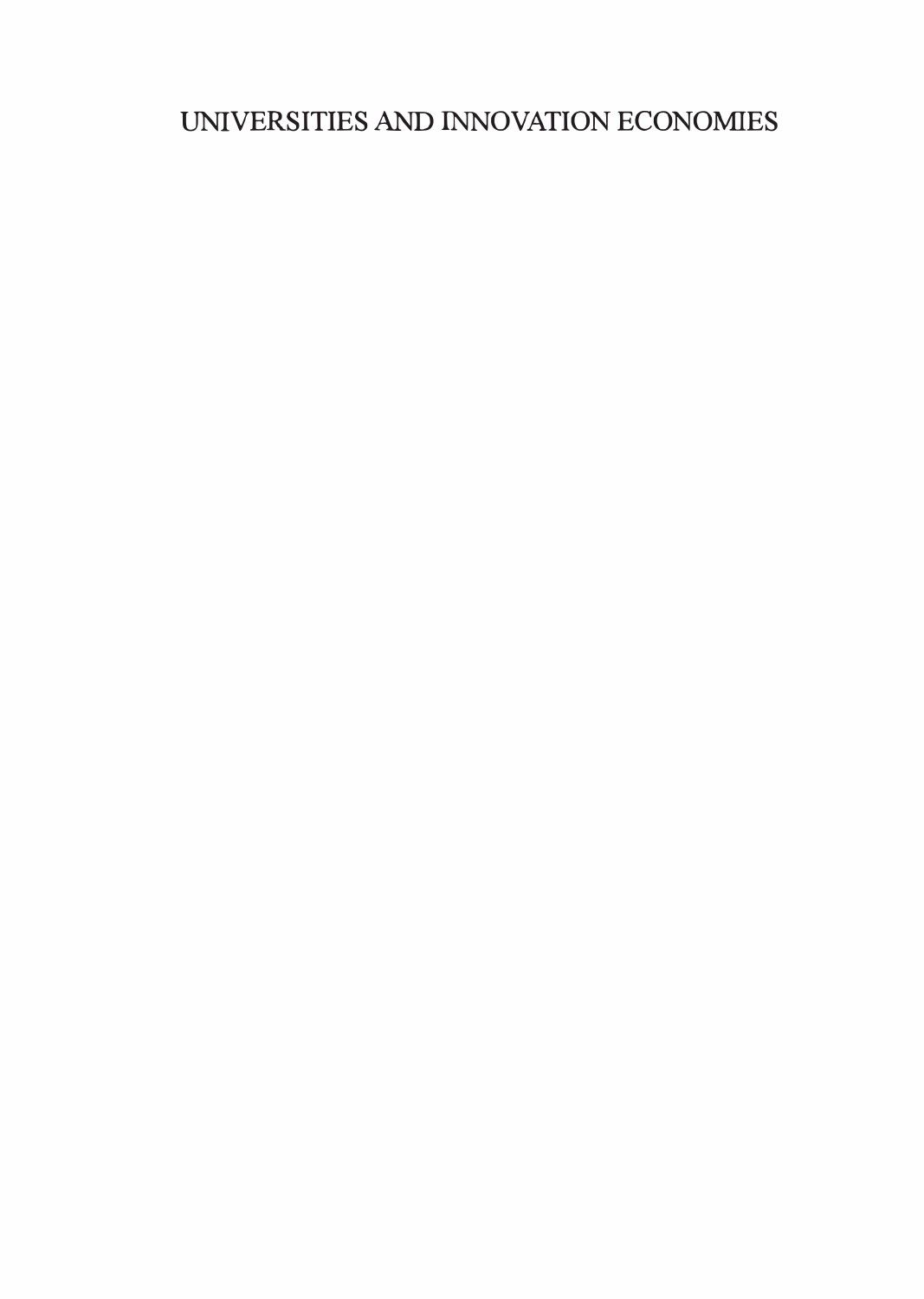### UNIVERSITIES AND INNOVATION ECONOMIES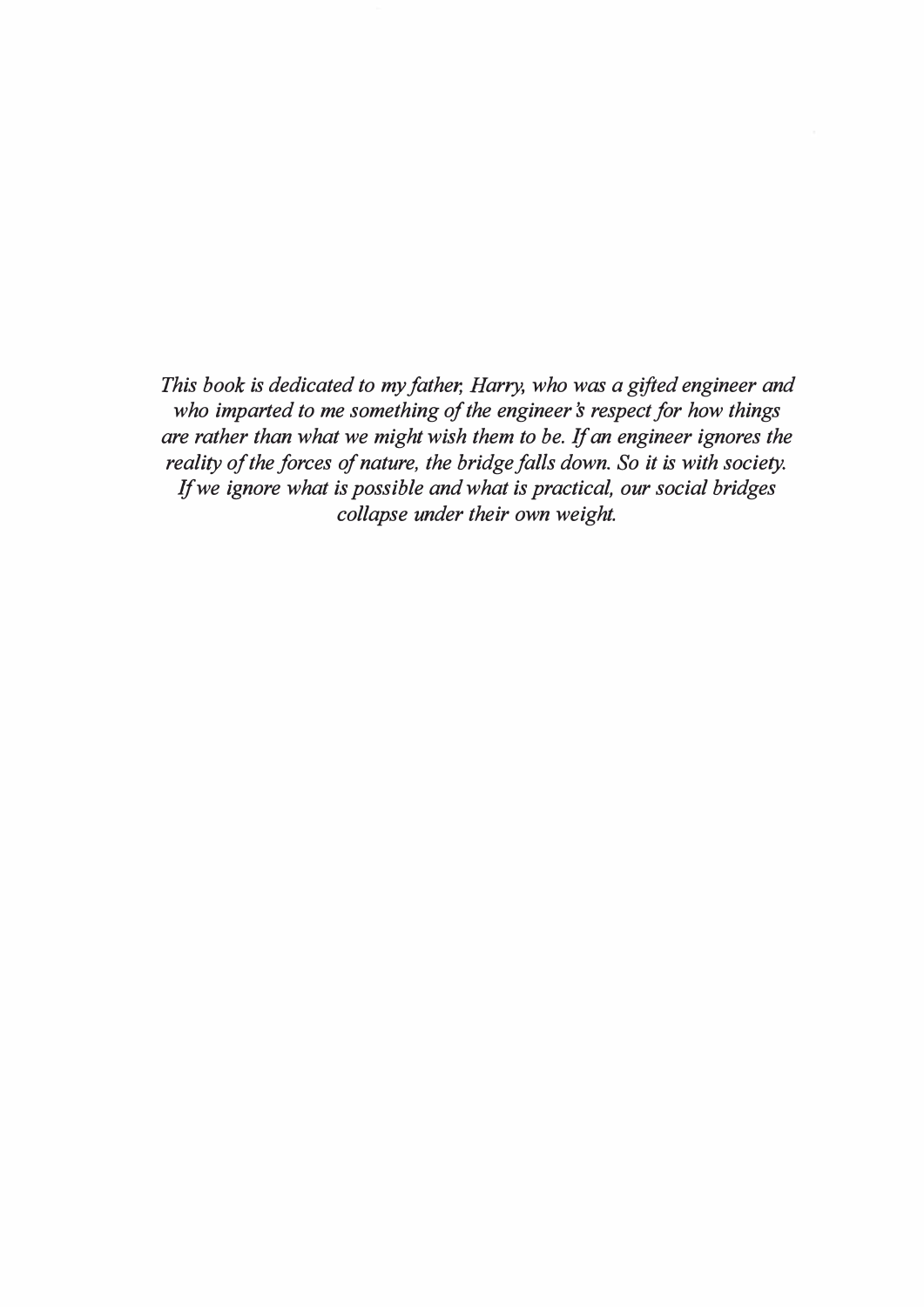This book is dedicated to my father, Harry, who was a gifted engineer and who imparted to me something of the engineer's respect for how things are rather than what we might wish them to be. If an engineer ignores the reality of the forces of nature, the bridge falls down. So it is with society. If we ignore what is possible and what is practical, our social bridges collapse under their own weight.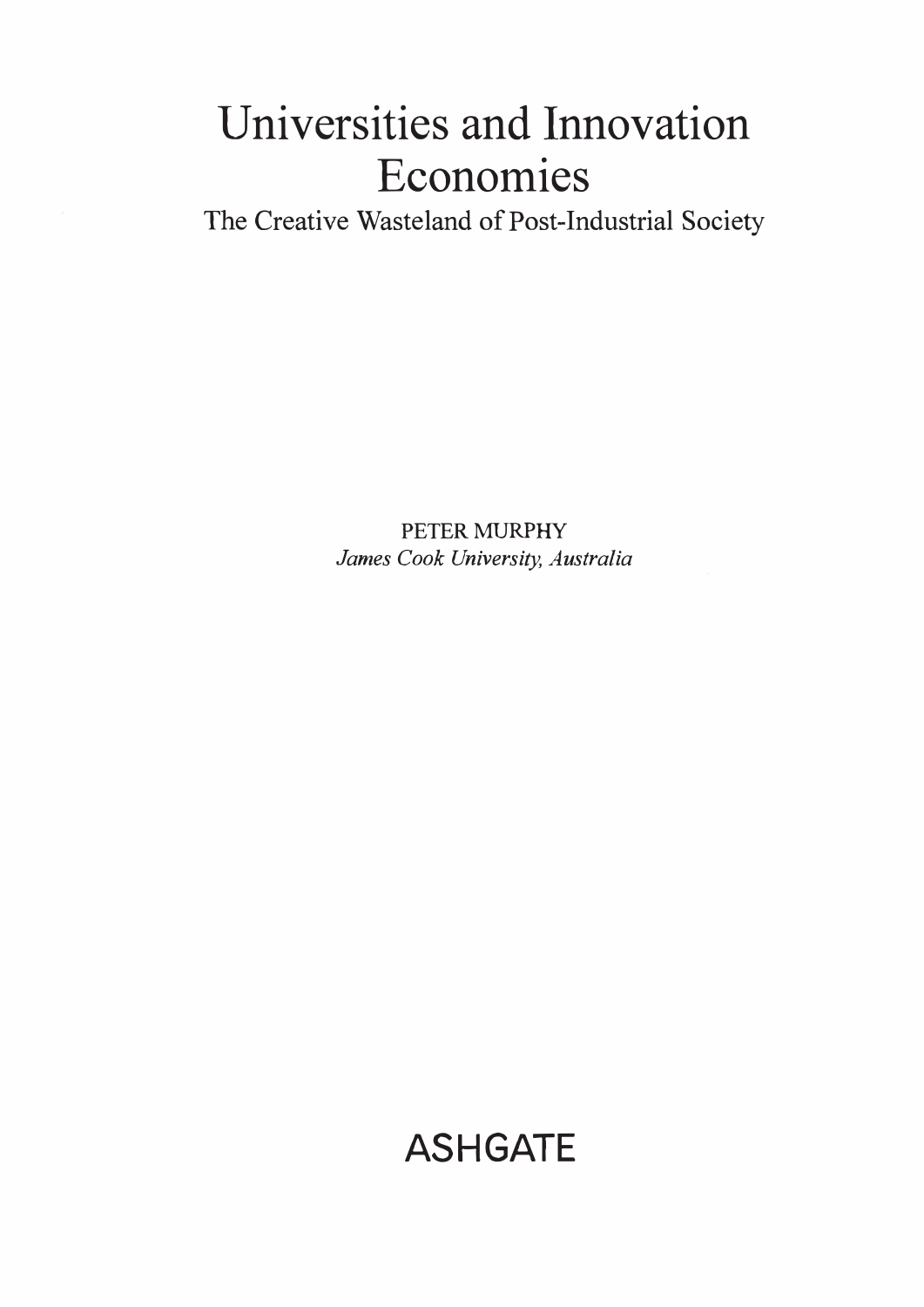## Universities and Innovation Economies

The Creative Wasteland of Post-Industrial Society

PETER MURPHY James Cook University, Australia

## **ASHGATE**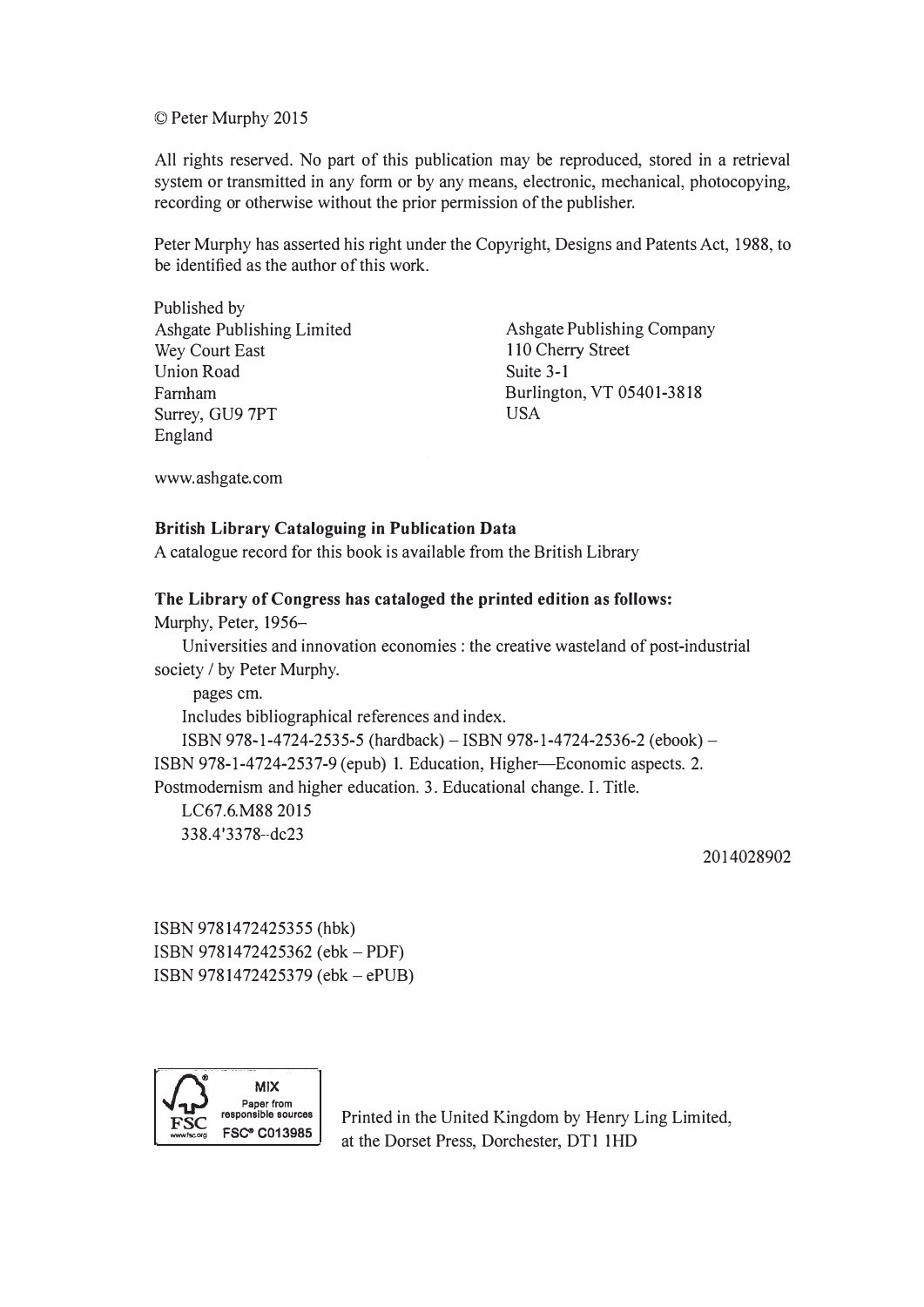© Peter Murphy 2015

All rights reserved. No part of this publication may be reproduced, stored in a retrieval system or transmitted in any form or by any means, electronic, mechanical, photocopying, recording or otherwise without the prior permission of the publisher.

Peter Murphy has asserted his right under the Copyright, Designs and Patents Act, 1988, to be identified as the author of this work.

Published by Ashgate Publishing Limited Wey Court East Union Road Farnham Surrey, GU9 7PT England

Ashgate Publishing Company 110 Cherry Street Suite 3-1 Burlington, VT 05401-3818 USA

www.ashgate.com

#### British Library Cataloguing in Publication Data

A catalogue record for this book is available from the British Library

### The Library of Congress has cataloged the printed edition as follows:

Murphy, Peter, 1956-Universities and innovation economies : the creative wasteland of post-industrial society / by Peter Murphy. pages cm.

Includes bibliographical references and index. ISBN 978-1-4724-2535-5 (hardback)-ISBN 978-1-4724-2536-2 (ebook) ISBN 978-1-4724-2537-9 (epub) 1. Education, Higher-Economic aspects. 2. Postmodemism and higher education. 3. Educational change. I. Title. LC67.6.M88 2015 338.4'3378--dc23

2014028902

ISBN 9781472425355 (hbk) ISBN 9781472425362 (ebk-PDF) ISBN 9781472425379 (ebk-ePUB)



Printed in the United Kingdom by Henry Ling Limited, at the Dorset Press, Dorchester, DTl lHD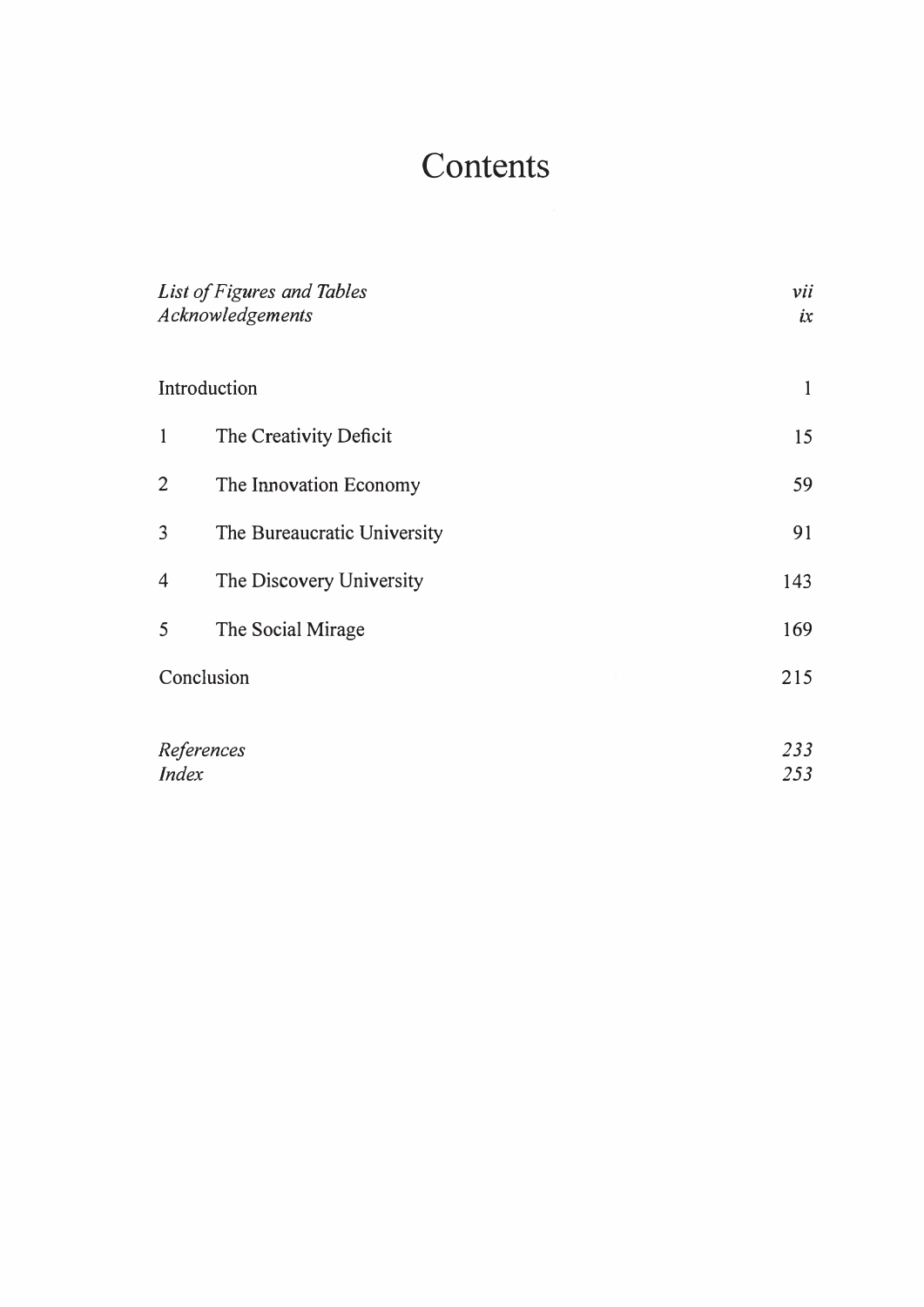## Contents

| List of Figures and Tables<br>Acknowledgements |                             | vii<br>ix    |
|------------------------------------------------|-----------------------------|--------------|
|                                                | Introduction                | $\mathbf{1}$ |
| $\mathbf{1}$                                   | The Creativity Deficit      | 15           |
| $\overline{2}$                                 | The Innovation Economy      | 59           |
| 3                                              | The Bureaucratic University | 91           |
| $\overline{4}$                                 | The Discovery University    | 143          |
| 5                                              | The Social Mirage           | 169          |
| Conclusion                                     |                             | 215          |
| <b>Index</b>                                   | References                  | 233<br>253   |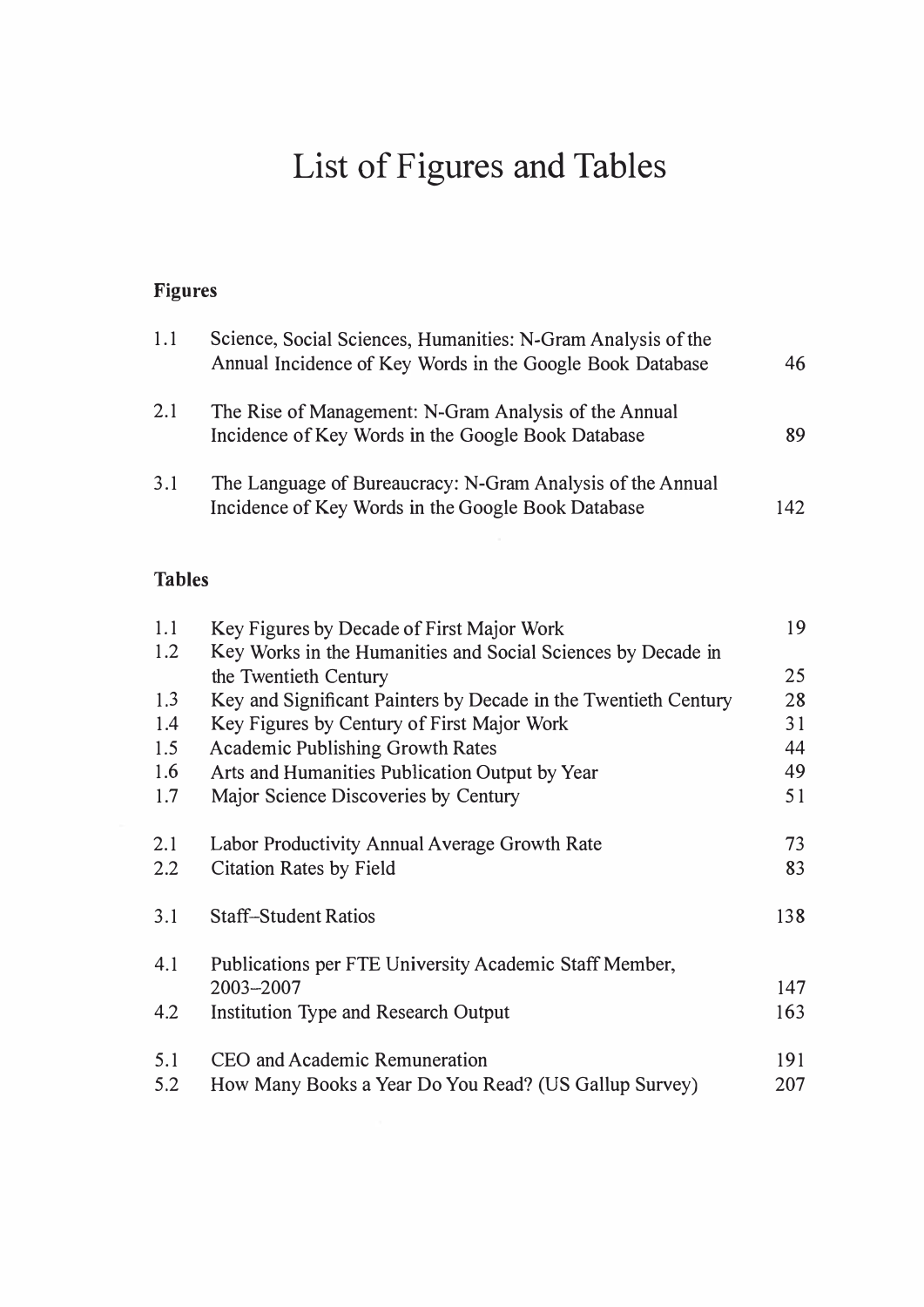## List of Figures and Tables

### Figures

| 1.1 | Science, Social Sciences, Humanities: N-Gram Analysis of the<br>Annual Incidence of Key Words in the Google Book Database | 46   |
|-----|---------------------------------------------------------------------------------------------------------------------------|------|
| 2.1 | The Rise of Management: N-Gram Analysis of the Annual<br>Incidence of Key Words in the Google Book Database               | 89   |
| 3.1 | The Language of Bureaucracy: N-Gram Analysis of the Annual<br>Incidence of Key Words in the Google Book Database          | 142. |

### Tables

| 1.1 | Key Figures by Decade of First Major Work                       | 19  |
|-----|-----------------------------------------------------------------|-----|
| 1.2 | Key Works in the Humanities and Social Sciences by Decade in    |     |
|     | the Twentieth Century                                           | 25  |
| 1,3 | Key and Significant Painters by Decade in the Twentieth Century | 28  |
| 1.4 | Key Figures by Century of First Major Work                      | 31  |
| 1.5 | <b>Academic Publishing Growth Rates</b>                         | 44  |
| 1.6 | Arts and Humanities Publication Output by Year                  | 49  |
| 1.7 | Major Science Discoveries by Century                            | 51  |
| 2.1 | Labor Productivity Annual Average Growth Rate                   | 73  |
| 2.2 | <b>Citation Rates by Field</b>                                  | 83  |
| 3.1 | <b>Staff-Student Ratios</b>                                     | 138 |
| 4.1 | Publications per FTE University Academic Staff Member,          |     |
|     | 2003-2007                                                       | 147 |
| 4.2 | Institution Type and Research Output                            | 163 |
| 5.1 | CEO and Academic Remuneration                                   | 191 |
| 5.2 | How Many Books a Year Do You Read? (US Gallup Survey)           | 207 |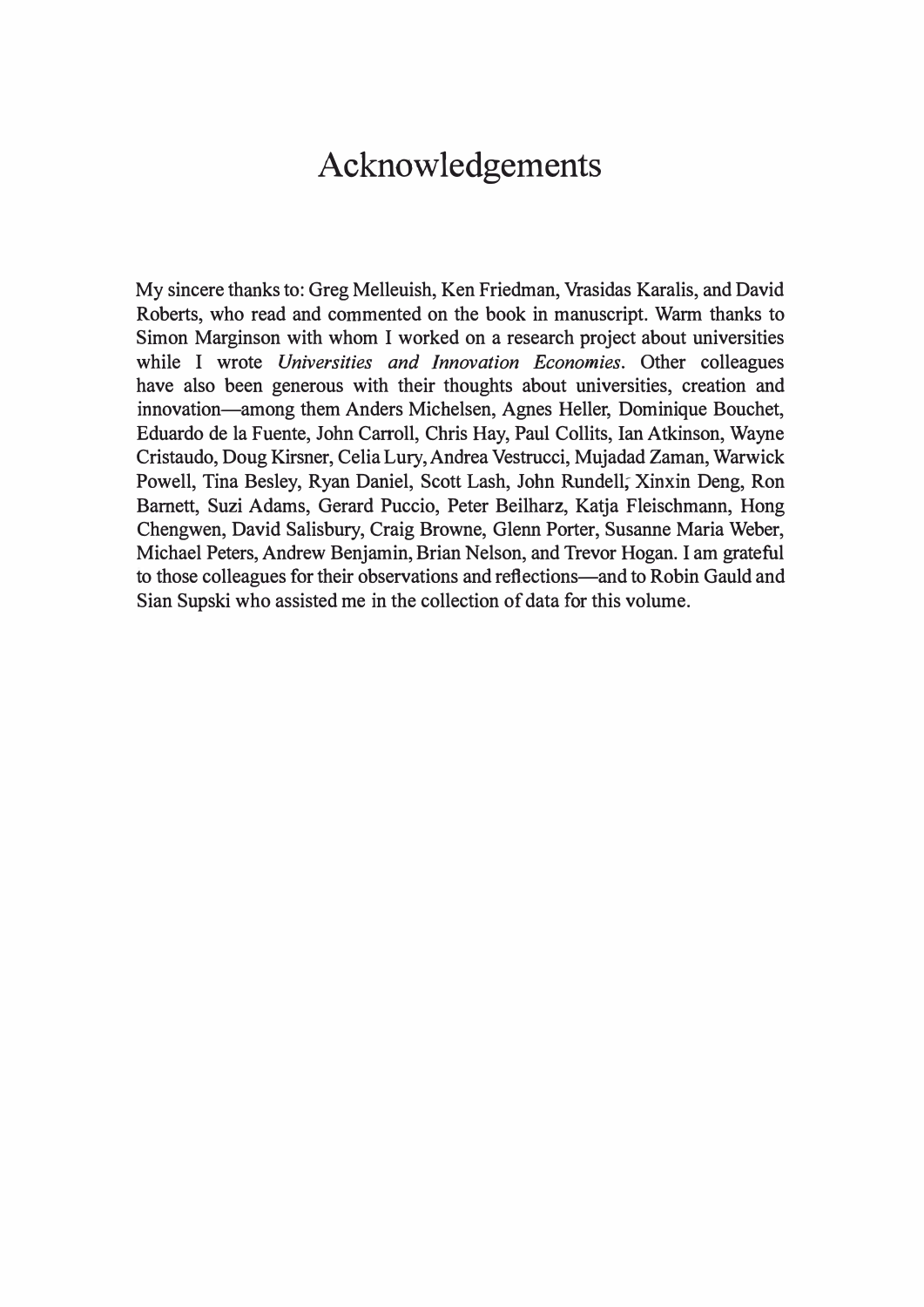### Acknowledgements

My sincere thanks to: Greg Melleuish, Ken Friedman, Vrasidas Karalis, and David Roberts, who read and commented on the book in manuscript. Warm thanks to Simon Marginson with whom I worked on a research project about universities while I wrote Universities and Innovation Economies. Other colleagues have also been generous with their thoughts about universities, creation and innovation-among them Anders Michelsen, Agnes Heller, Dominique Bouchet, Eduardo de la Fuente, John Carroll, Chris Hay, Paul Collits, Ian Atkinson, Wayne Cristaudo, Doug Kirsner, Celia Lury, Andrea Vestrucci, Mujadad Zaman, Warwick Powell, Tina Besley, Ryan Daniel, Scott Lash, John Rundell; Xinxin Deng, Ron Barnett, Suzi Adams, Gerard Puccio, Peter Beilharz, Katja Fleischmann, Hong Chengwen, David Salisbury, Craig Browne, Glenn Porter, Susanne Maria Weber, Michael Peters, Andrew Benjamin, Brian Nelson, and Trevor Hogan. I am grateful to those colleagues for their observations and reflections-and to Robin Gauld and Sian Supski who assisted me in the collection of data for this volume.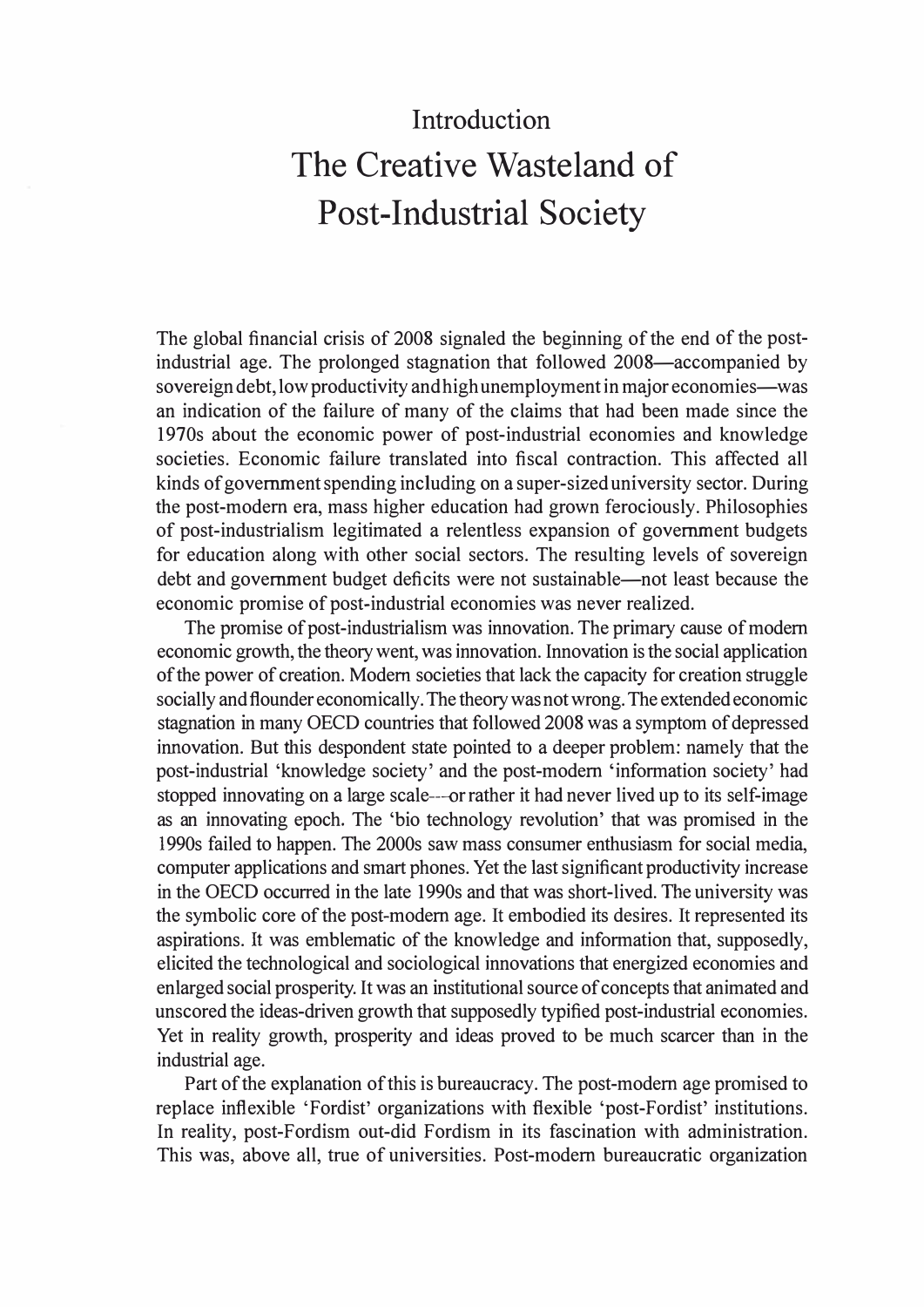## Introduction The Creative Wasteland of Post-Industrial Society

The global financial crisis of 2008 signaled the beginning of the end of the postindustrial age. The prolonged stagnation that followed 2008—accompanied by sovereign debt, low productivity and high unemployment in major economies—was an indication of the failure of many of the claims that had been made since the 1970s about the economic power of post-industrial economies and knowledge societies. Economic failure translated into fiscal contraction. This affected all kinds of government spending including on a super-sized university sector. During the post-modern era, mass higher education had grown ferociously. Philosophies of post-industrialism legitimated a relentless expansion of government budgets for education along with other social sectors. The resulting levels of sovereign debt and government budget deficits were not sustainable—not least because the economic promise of post-industrial economies was never realized.

The promise of post-industrialism was innovation. The primary cause of modem economic growth, the theory went, was innovation. Innovation is the social application of the power of creation. Modern societies that lack the capacity for creation struggle socially and flounder economically. The theory was not wrong. The extended economic stagnation in many OECD countries that followed 2008 was a symptom of depressed innovation. But this despondent state pointed to a deeper problem: namely that the post-industrial 'knowledge society' and the post-modem 'information society' had stopped innovating on a large scale--or rather it had never lived up to its self-image as an innovating epoch. The 'bio technology revolution' that was promised in the 1990s failed to happen. The 2000s saw mass consumer enthusiasm for social media, computer applications and smart phones. Yet the last significant productivity increase in the OECD occurred in the late 1990s and that was short-lived. The university was the symbolic core of the post-modem age. It embodied its desires. It represented its aspirations. It was emblematic of the knowledge and information that, supposedly, elicited the technological and sociological innovations that energized economies and enlarged social prosperity. It was an institutional source of concepts that animated and unscored the ideas-driven growth that supposedly typified post-industrial economies. Yet in reality growth, prosperity and ideas proved to be much scarcer than in the industrial age.

Part of the explanation of this is bureaucracy. The post-modem age promised to replace inflexible 'Fordist' organizations with flexible 'post-Fordist' institutions. In reality, post-Fordism out-did Fordism in its fascination with administration. This was, above all, true of universities. Post-modem bureaucratic organization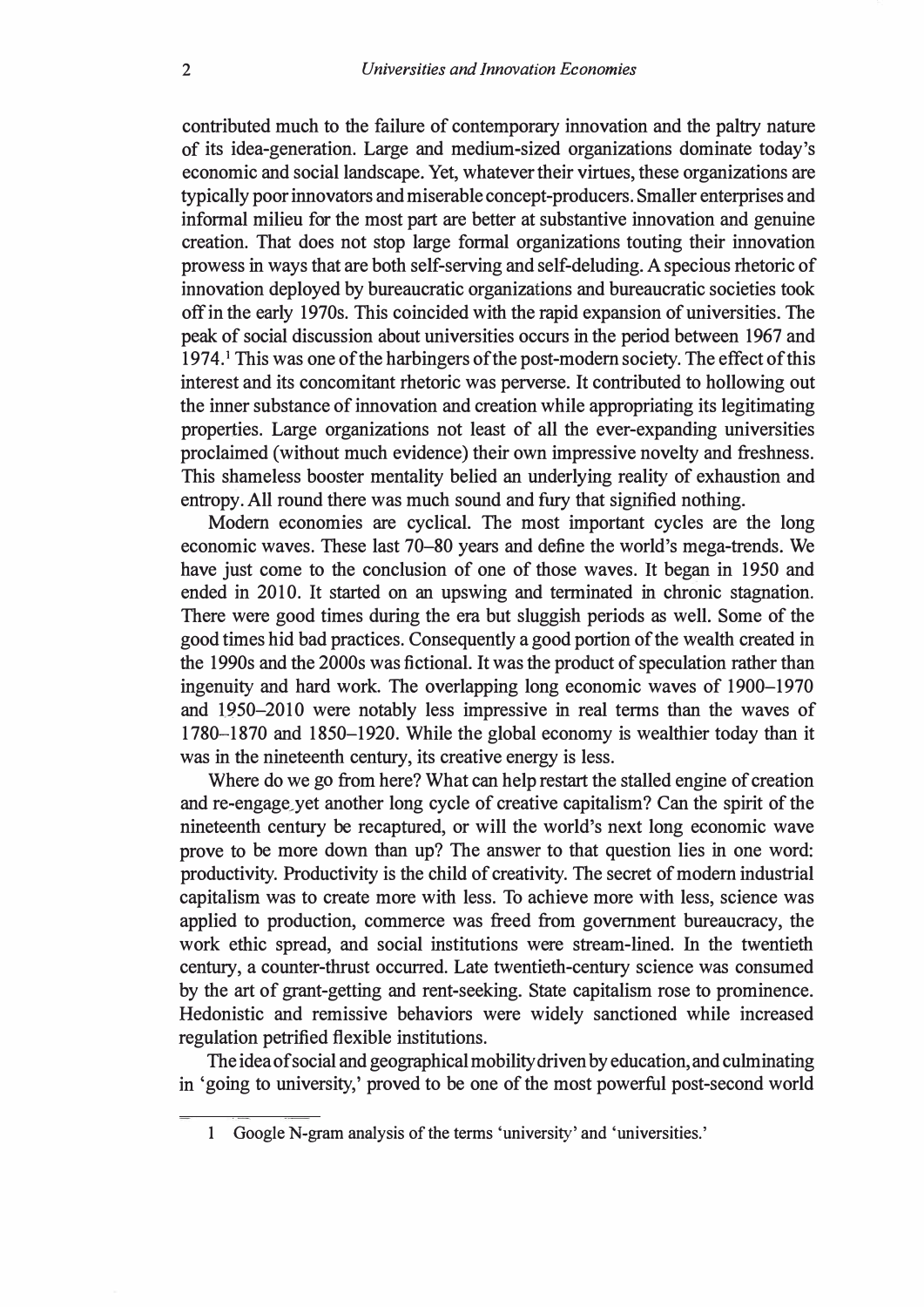contributed much to the failure of contemporary innovation and the paltry nature of its idea-generation. Large and medium-sized organizations dominate today's economic and social landscape. Yet, whatever their virtues, these organizations are typically poor innovators and miserable concept-producers. Smaller enterprises and informal milieu for the most part are better at substantive innovation and genuine creation. That does not stop large formal organizations touting their innovation prowess in ways that are both self-serving and self-deluding. A specious rhetoric of innovation deployed by bureaucratic organizations and bureaucratic societies took off in the early 1970s. This coincided with the rapid expansion of universities. The peak of social discussion about universities occurs in the period between 1967 and 1974.1 This was one of the harbingers of the post-modem society. The effect of this interest and its concomitant rhetoric was perverse. It contributed to hollowing out the inner substance of innovation and creation while appropriating its legitimating properties. Large organizations not least of all the ever-expanding universities proclaimed (without much evidence) their own impressive novelty and freshness. This shameless booster mentality belied an underlying reality of exhaustion and entropy. All round there was much sound and fury that signified nothing.

Modem economies are cyclical. The most important cycles are the long economic waves. These last 70-80 years and define the world's mega-trends. We have just come to the conclusion of one of those waves. It began in 1950 and ended in 2010. It started on an upswing and terminated in chronic stagnation. There were good times during the era but sluggish periods as well. Some of the good times hid bad practices. Consequently a good portion of the wealth created in the 1990s and the 2000s was fictional. It was the product of speculation rather than ingenuity and hard work. The overlapping long economic waves of 1900-1970 and 1950-2010 were notably less impressive in real terms than the waves of 1780-1870 and 1850-1920. While the global economy is wealthier today than it was in the nineteenth century, its creative energy is less.

Where do we go from here? What can help restart the stalled engine of creation and re-engage\_yet another long cycle of creative capitalism? Can the spirit of the nineteenth century be recaptured, or will the world's next long economic wave prove to be more down than up? The answer to that question lies in one word: productivity. Productivity is the child of creativity. The secret of modem industrial capitalism was to create more with less. To achieve more with less, science was applied to production, commerce was freed from government bureaucracy, the work ethic spread, and social institutions were stream-lined. In the twentieth century, a counter-thrust occurred. Late twentieth-century science was consumed by the art of grant-getting and rent-seeking. State capitalism rose to prominence. Hedonistic and remissive behaviors were widely sanctioned while increased regulation petrified flexible institutions.

The idea of social and geographical mobility driven by education, and culminating in 'going to university,' proved to be one of the most powerful post-second world

<sup>1</sup> Google N-gram analysis of the terms 'university' and 'universities.'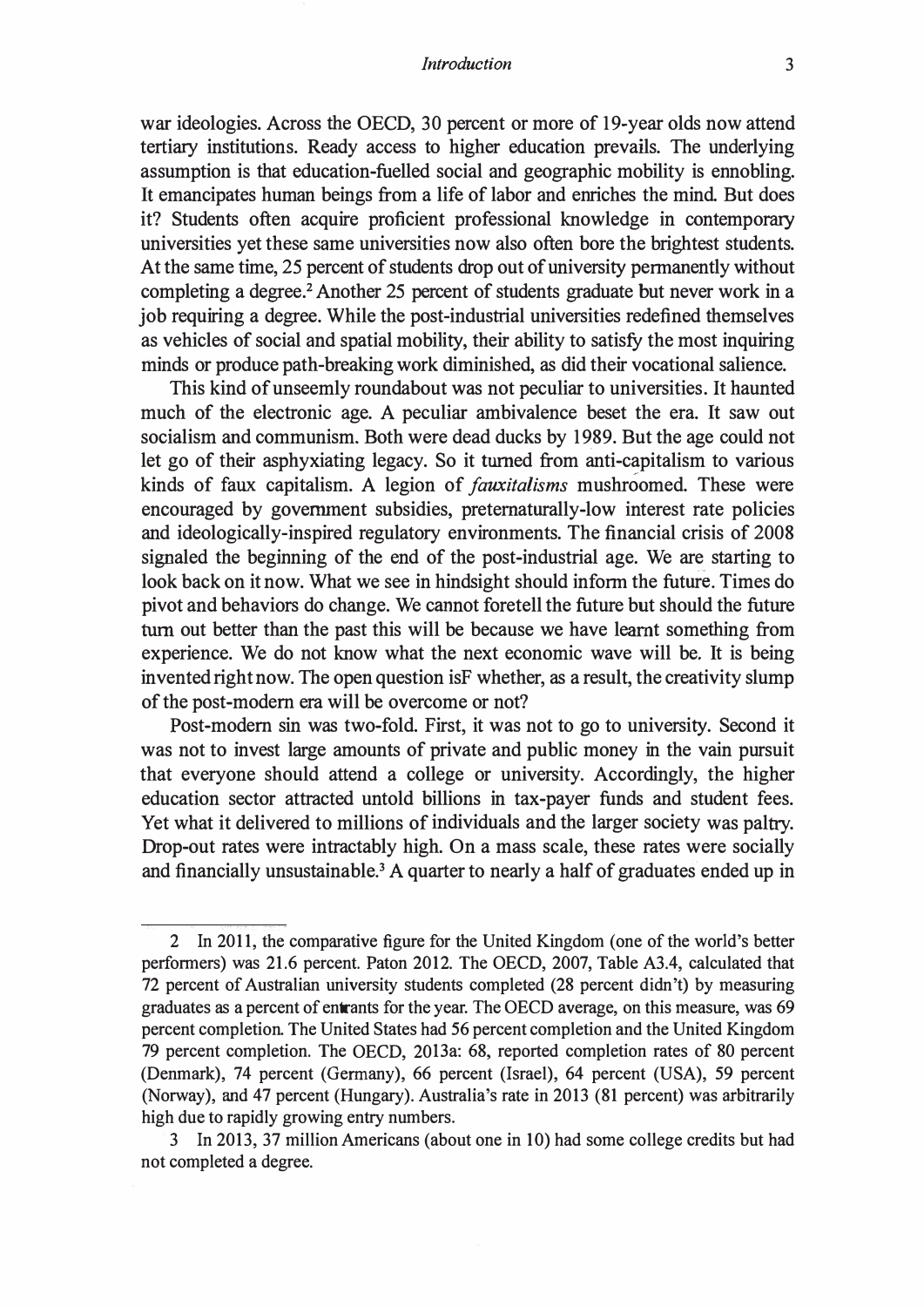#### Introduction 3

war ideologies. Across the OECD, 30 percent or more of 19-year olds now attend tertiary institutions. Ready access to higher education prevails. The underlying assumption is that education-fuelled social and geographic mobility is ennobling. It emancipates human beings from a life of labor and enriches the mind. But does it? Students often acquire proficient professional knowledge in contemporary universities yet these same universities now also often bore the brightest students. At the same time, 25 percent of students drop out of university permanently without completing a degree.<sup>2</sup> Another 25 percent of students graduate but never work in a job requiring a degree. While the post-industrial universities redefined themselves as vehicles of social and spatial mobility, their ability to satisfy the most inquiring minds or produce path-breaking work diminished, as did their vocational salience.

This kind of unseemly roundabout was not peculiar to universities. It haunted much of the electronic age. A peculiar ambivalence beset the era. It saw out socialism and communism. Both were dead ducks by 1989. But the age could not let go of their asphyxiating legacy. So it turned from anti-capitalism to various kinds of faux capitalism. A legion of fauxitalisms mushroomed. These were encouraged by government subsidies, preternaturally-low interest rate policies and ideologically-inspired regulatory environments. The financial crisis of 2008 signaled the beginning of the end of the post-industrial age. We are starting to look back on it now. What we see in hindsight should inform the future. Times do pivot and behaviors do change. We cannot foretell the future but should the future tum out better than the past this will be because we have learnt something from experience. We do not know what the next economic wave will be. It is being invented right now. The open question isF whether, as a result, the creativity slump of the post-modem era will be overcome or not?

Post-modem sin was two-fold. First, it was not to go to university. Second it was not to invest large amounts of private and public money in the vain pursuit that everyone should attend a college or university. Accordingly, the higher education sector attracted untold billions in tax-payer funds and student fees. Yet what it delivered to millions of individuals and the larger society was paltry. Drop-out rates were intractably high. On a mass scale, these rates were socially and financially unsustainable.<sup>3</sup> A quarter to nearly a half of graduates ended up in

<sup>2</sup> In 2011, the comparative figure for the United Kingdom (one of the world's better performers) was 21.6 percent. Paton 2012. The OECD, 2007, Table A3.4, calculated that 72 percent of Australian university students completed (28 percent didn't) by measuring graduates as a percent of entrants for the year. The OECD average, on this measure, was 69 percent completion. The United States had 56 percent completion and the United Kingdom 79 percent completion. The OECD, 2013a: 68, reported completion rates of 80 percent (Denmark), 74 percent (Germany), 66 percent (Israel), 64 percent (USA), 59 percent (Norway), and 47 percent (Hungary). Australia's rate in 2013 (81 percent) was arbitrarily high due to rapidly growing entry numbers.

<sup>3</sup> In 2013, 37 million Americans (about one in 10) had some college credits but had not completed a degree.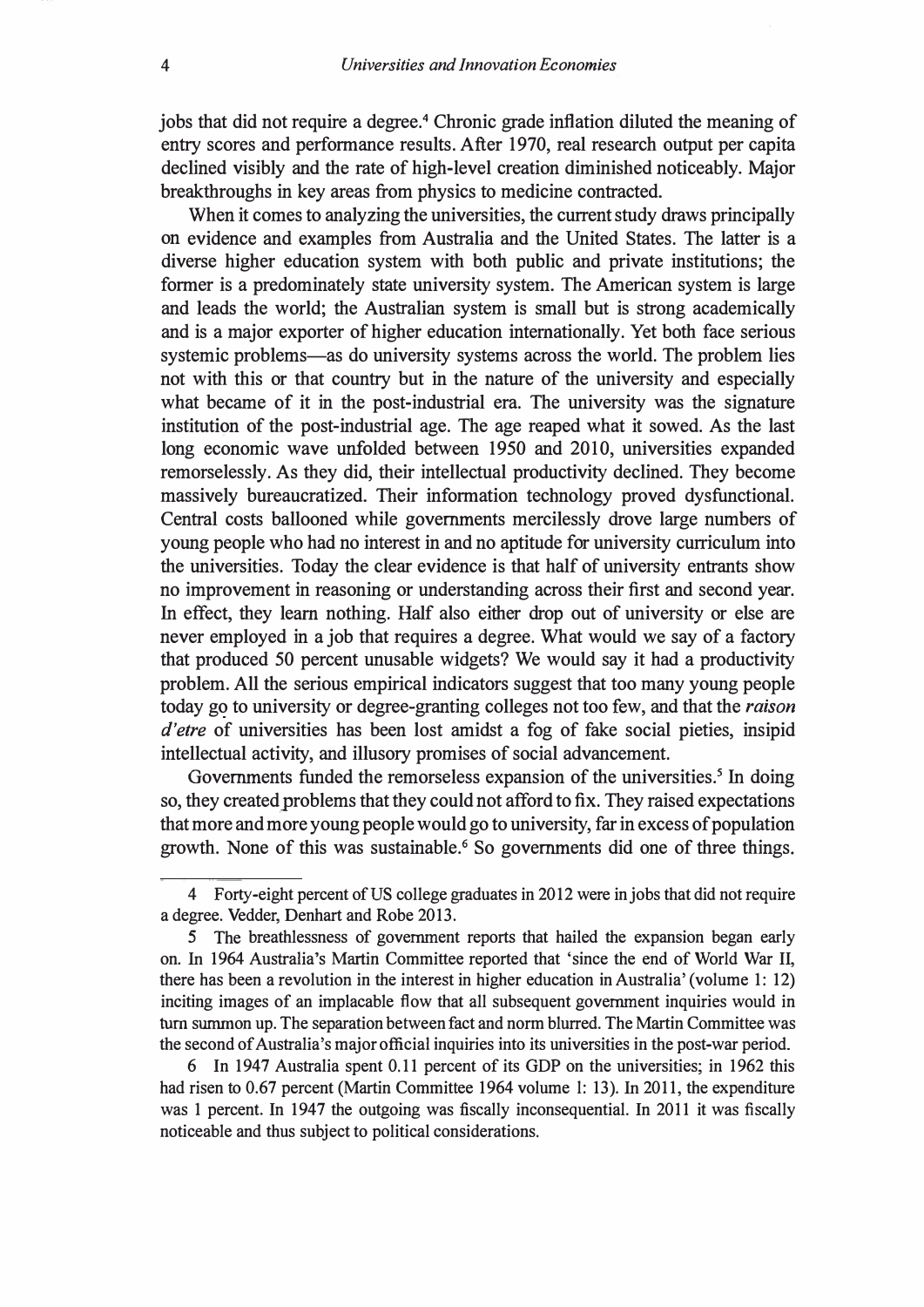jobs that did not require a degree.<sup>4</sup> Chronic grade inflation diluted the meaning of entry scores and performance results. After 1970, real research output per capita declined visibly and the rate of high-level creation diminished noticeably. Major breakthroughs in key areas from physics to medicine contracted.

When it comes to analyzing the universities, the current study draws principally on evidence and examples from Australia and the United States. The latter is a diverse higher education system with both public and private institutions; the former is a predominately state university system. The American system is large and leads the world; the Australian system is small but is strong academically and is a major exporter of higher education internationally. Yet both face serious systemic problems—as do university systems across the world. The problem lies not with this or that country but in the nature of the university and especially what became of it in the post-industrial era. The university was the signature institution of the post-industrial age. The age reaped what it sowed. As the last long economic wave unfolded between 1950 and 2010, universities expanded remorselessly. As they did, their intellectual productivity declined. They become massively bureaucratized. Their information technology proved dysfunctional. Central costs ballooned while governments mercilessly drove large numbers of young people who had no interest in and no aptitude for university curriculum into the universities. Today the clear evidence is that half of university entrants show no improvement in reasoning or understanding across their first and second year. In effect, they learn nothing. Half also either drop out of university or else are never employed in a job that requires a degree. What would we say of a factory that produced 50 percent unusable widgets? We would say it had a productivity problem. All the serious empirical indicators suggest that too many young people today go to university or degree-granting colleges not too few, and that the raison d'etre of universities has been lost amidst a fog of fake social pieties, insipid intellectual activity, and illusory promises of social advancement.

Governments funded the remorseless expansion of the universities.<sup>5</sup> In doing so, they created problems that they could not afford to fix. They raised expectations that more and more young people would go to university, far in excess of population growth. None of this was sustainable.<sup>6</sup> So governments did one of three things.

<sup>4</sup> Forty-eight percent of US college graduates in 2012 were in jobs that did not require a degree. Vedder, Denhart and Robe 2013.

<sup>5</sup> The breathlessness of government reports that hailed the expansion began early on. In 1964 Australia's Martin Committee reported that 'since the end of World War II, there has been a revolution in the interest in higher education in Australia' (volume 1: 12) inciting images of an implacable flow that all subsequent government inquiries would in turn summon up. The separation between fact and norm blurred. The Martin Committee was the second of Australia's major official inquiries into its universities in the post-war period.

<sup>6</sup> In 1947 Australia spent 0.11 percent of its GDP on the universities; in 1962 this had risen to 0.67 percent (Martin Committee 1964 volume 1: 13). In 2011, the expenditure was 1 percent. In 1947 the outgoing was fiscally inconsequential. In 2011 it was fiscally noticeable and thus subject to political considerations.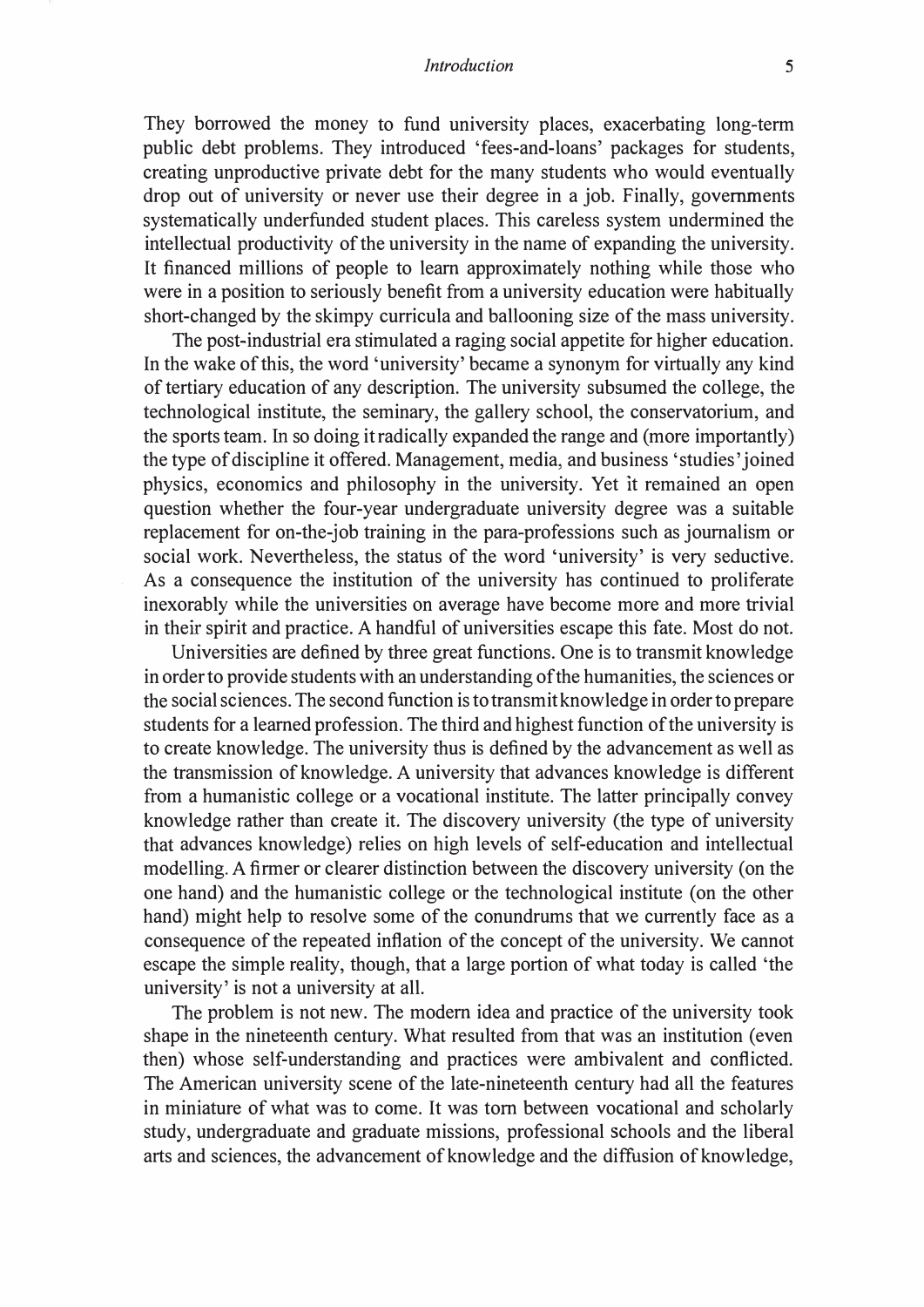#### Introduction 5

They borrowed the money to fund university places, exacerbating long-term public debt problems. They introduced 'fees-and-loans' packages for students, creating unproductive private debt for the many students who would eventually drop out of university or never use their degree in a job. Finally, governments systematically underfunded student places. This careless system undermined the intellectual productivity of the university in the name of expanding the university. It financed millions of people to learn approximately nothing while those who were in a position to seriously benefit from a university education were habitually short-changed by the skimpy curricula and ballooning size of the mass university.

The post-industrial era stimulated a raging social appetite for higher education. In the wake of this, the word 'university' became a synonym for virtually any kind of tertiary education of any description. The university subsumed the college, the technological institute, the seminary, the gallery school, the conservatorium, and the sports team. In so doing it radically expanded the range and (more importantly) the type of discipline it offered. Management, media, and business 'studies' joined physics, economics and philosophy in the university. Yet it remained an open question whether the four-year undergraduate university degree was a suitable replacement for on-the-job training in the para-professions such as journalism or social work. Nevertheless, the status of the word 'university' is very seductive. As a consequence the institution of the university has continued to proliferate inexorably while the universities on average have become more and more trivial in their spirit and practice. A handful of universities escape this fate. Most do not.

Universities are defined by three great functions. One is to transmit knowledge in order to provide students with an understanding of the humanities, the sciences or the social sciences. The second function is to transmit know ledge in order to prepare students for a learned profession. The third and highest function of the university is to create knowledge. The university thus is defined by the advancement as well as the transmission of knowledge. A university that advances knowledge is different from a humanistic college or a vocational institute. The latter principally convey knowledge rather than create it. The discovery university (the type of university that advances knowledge) relies on high levels of self-education and intellectual modelling. A firmer or clearer distinction between the discovery university (on the one hand) and the humanistic college or the technological institute (on the other hand) might help to resolve some of the conundrums that we currently face as a consequence of the repeated inflation of the concept of the university. We cannot escape the simple reality, though, that a large portion of what today is called 'the university' is not a university at all.

The problem is not new. The modern idea and practice of the university took shape in the nineteenth century. What resulted from that was an institution (even then) whose self-understanding and practices were ambivalent and conflicted. The American university scene of the late-nineteenth century had all the features in miniature of what was to come. It was tom between vocational and scholarly study, undergraduate and graduate missions, professional schools and the liberal arts and sciences, the advancement of knowledge and the diffusion of knowledge,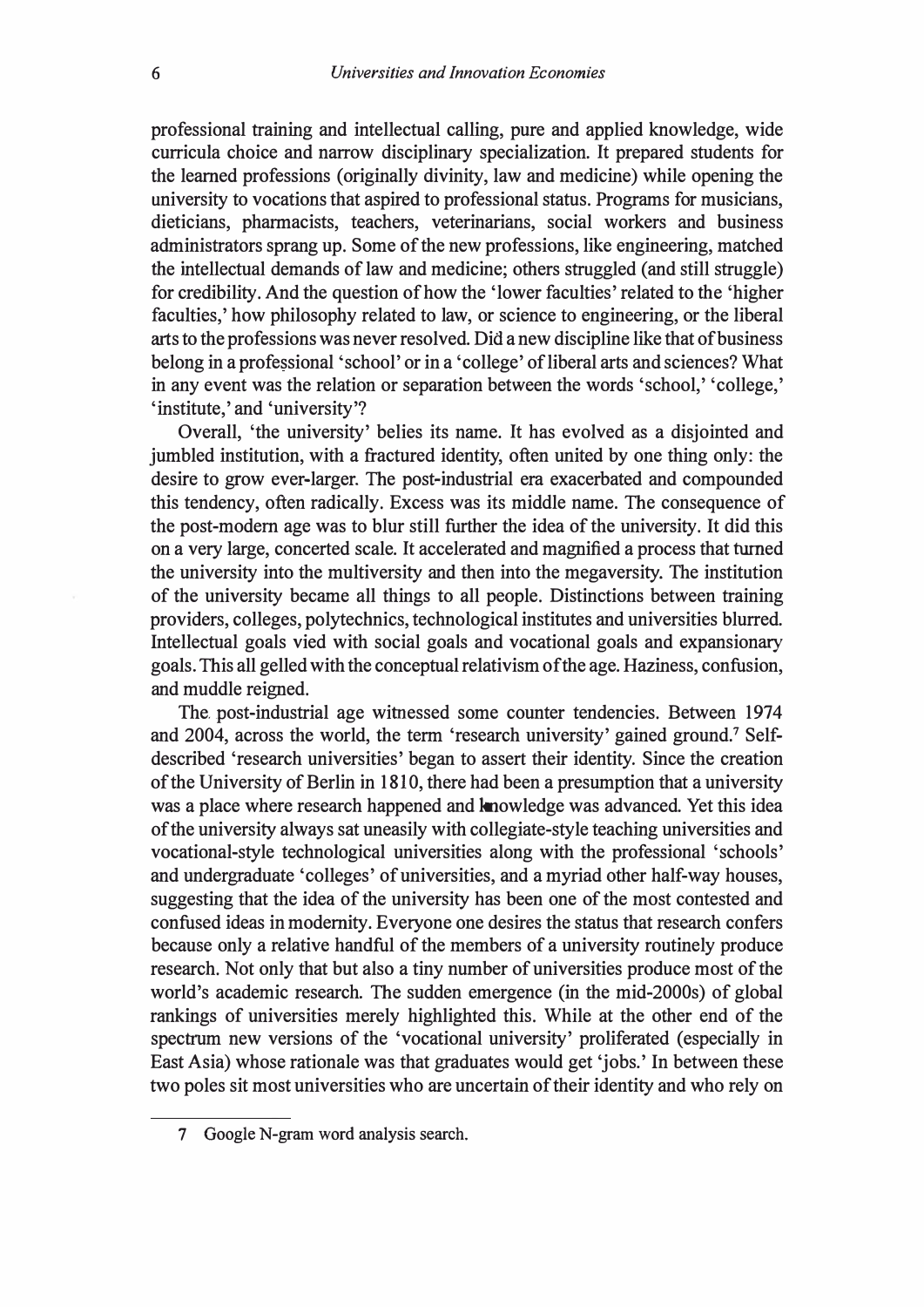professional training and intellectual calling, pure and applied knowledge, wide curricula choice and narrow disciplinary specialization. It prepared students for the learned professions (originally divinity, law and medicine) while opening the university to vocations that aspired to professional status. Programs for musicians, dieticians, pharmacists, teachers, veterinarians, social workers and business administrators sprang up. Some of the new professions, like engineering, matched the intellectual demands of law and medicine; others struggled (and still struggle) for credibility. And the question of how the 'lower faculties' related to the 'higher faculties,' how philosophy related to law, or science to engineering, or the liberal arts to the professions was never resolved. Did a new discipline like that of business belong in a professional 'school' or in a 'college' of liberal arts and sciences? What in any event was the relation or separation between the words 'school,' 'college,' 'institute,' and 'university'?

Overall, 'the university' belies its name. It has evolved as a disjointed and jumbled institution, with a fractured identity, often united by one thing only: the desire to grow ever-larger. The post-industrial era exacerbated and compounded this tendency, often radically. Excess was its middle name. The consequence of the post-modem age was to blur still further the idea of the university. It did this on a very large, concerted scale. It accelerated and magnified a process that turned the university into the multiversity and then into the megaversity. The institution of the university became all things to all people. Distinctions between training providers, colleges, polytechnics, technological institutes and universities blurred. Intellectual goals vied with social goals and vocational goals and expansionary goals. This all gelled with the conceptual relativism of the age. Haziness, confusion, and muddle reigned.

The. post-industrial age witnessed some counter tendencies. Between 1974 and 2004, across the world, the term 'research university' gained ground.7 Selfdescribed 'research universities' began to assert their identity. Since the creation of the University of Berlin in 1810, there had been a presumption that a university was a place where research happened and knowledge was advanced. Yet this idea of the university always sat uneasily with collegiate-style teaching universities and vocational-style technological universities along with the professional 'schools' and undergraduate 'colleges' of universities, and a myriad other half-way houses, suggesting that the idea of the university has been one of the most contested and confused ideas in modernity. Everyone one desires the status that research confers because only a relative handful of the members of a university routinely produce research. Not only that but also a tiny number of universities produce most of the world's academic research. The sudden emergence (in the mid-2000s) of global rankings of universities merely highlighted this. While at the other end of the spectrum new versions of the 'vocational university' proliferated (especially in East Asia) whose rationale was that graduates would get 'jobs.' In between these two poles sit most universities who are uncertain of their identity and who rely on

<sup>7</sup> Google N-gram word analysis search.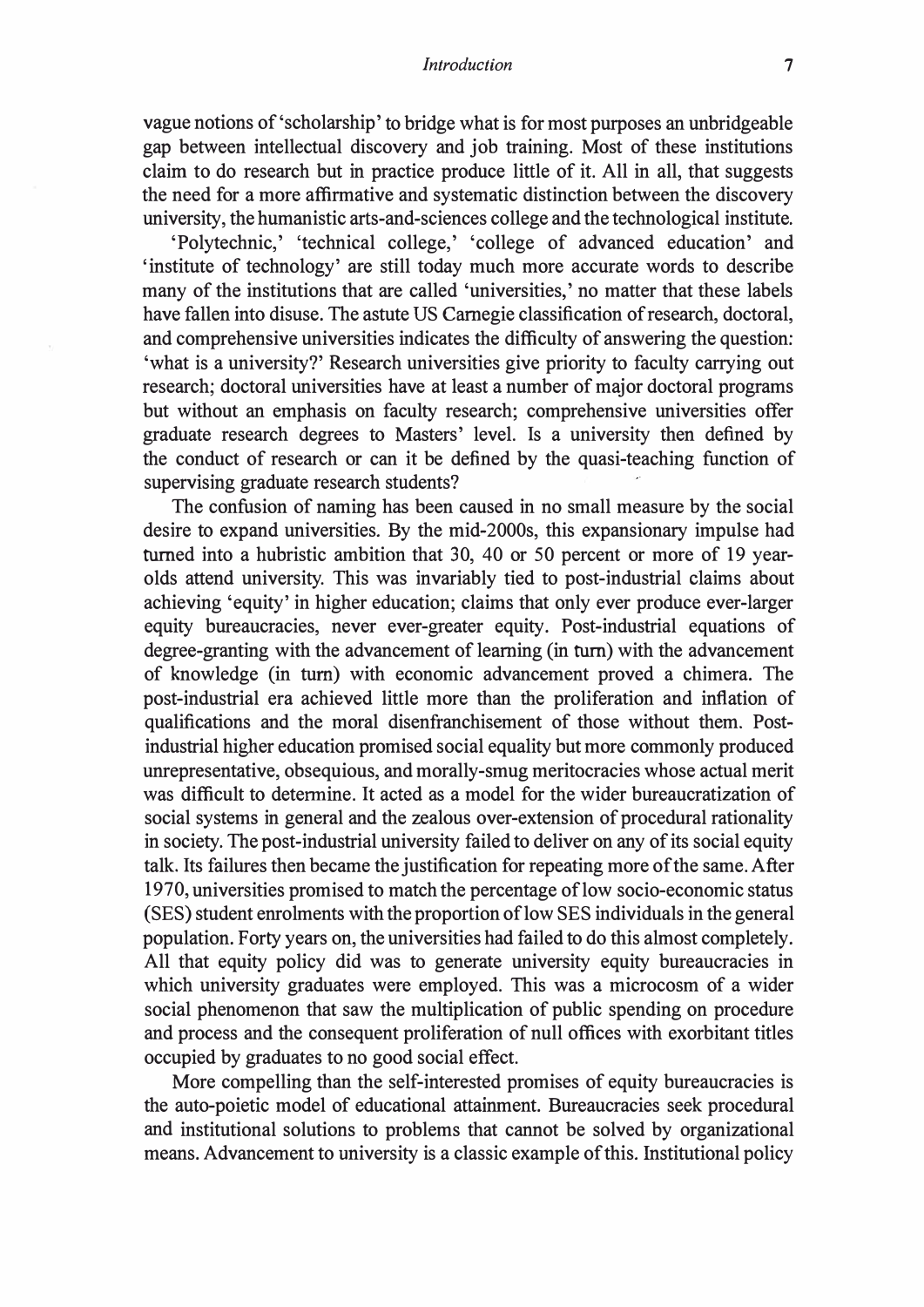#### Introduction 7

vague notions of' scholarship' to bridge what is for most purposes an unbridgeable gap between intellectual discovery and job training. Most of these institutions claim to do research but in practice produce little of it. All in all, that suggests the need for a more affirmative and systematic distinction between the discovery university, the humanistic arts-and-sciences college and the technological institute.

'Polytechnic,' 'technical college,' 'college of advanced education' and 'institute of technology' are still today much more accurate words to describe many of the institutions that are called 'universities,' no matter that these labels have fallen into disuse. The astute US Carnegie classification of research, doctoral, and comprehensive universities indicates the difficulty of answering the question: 'what is a university?' Research universities give priority to faculty carrying out research; doctoral universities have at least a number of major doctoral programs but without an emphasis on faculty research; comprehensive universities offer graduate research degrees to Masters' level. Is a university then defined by the conduct of research or can it be defined by the quasi-teaching function of supervising graduate research students?

The confusion of naming has been caused in no small measure by the social desire to expand universities. By the mid-2000s, this expansionary impulse had turned into a hubristic ambition that 30, 40 or 50 percent or more of 19 yearolds attend university. This was invariably tied to post-industrial claims about achieving 'equity' in higher education; claims that only ever produce ever-larger equity bureaucracies, never ever-greater equity. Post-industrial equations of degree-granting with the advancement of learning (in turn) with the advancement of knowledge (in tum) with economic advancement proved a chimera. The post-industrial era achieved little more than the proliferation and inflation of qualifications and the moral disenfranchisement of those without them. Postindustrial higher education promised social equality but more commonly produced unrepresentative, obsequious, and morally-smug meritocracies whose actual merit was difficult to determine. It acted as a model for the wider bureaucratization of social systems in general and the zealous over-extension of procedural rationality in society. The post-industrial university failed to deliver on any of its social equity talk. Its failures then became the justification for repeating more of the same. After 1970, universities promised to match the percentage of low socio-economic status (SES) student enrolments with the proportion of low SES individuals in the general population. Forty years on, the universities had failed to do this almost completely. All that equity policy did was to generate university equity bureaucracies in which university graduates were employed. This was a microcosm of a wider social phenomenon that saw the multiplication of public spending on procedure and process and the consequent proliferation of null offices with exorbitant titles occupied by graduates to no good social effect.

More compelling than the self-interested promises of equity bureaucracies is the auto-poietic model of educational attainment. Bureaucracies seek procedural and institutional solutions to problems that cannot be solved by organizational means. Advancement to university is a classic example of this. Institutional policy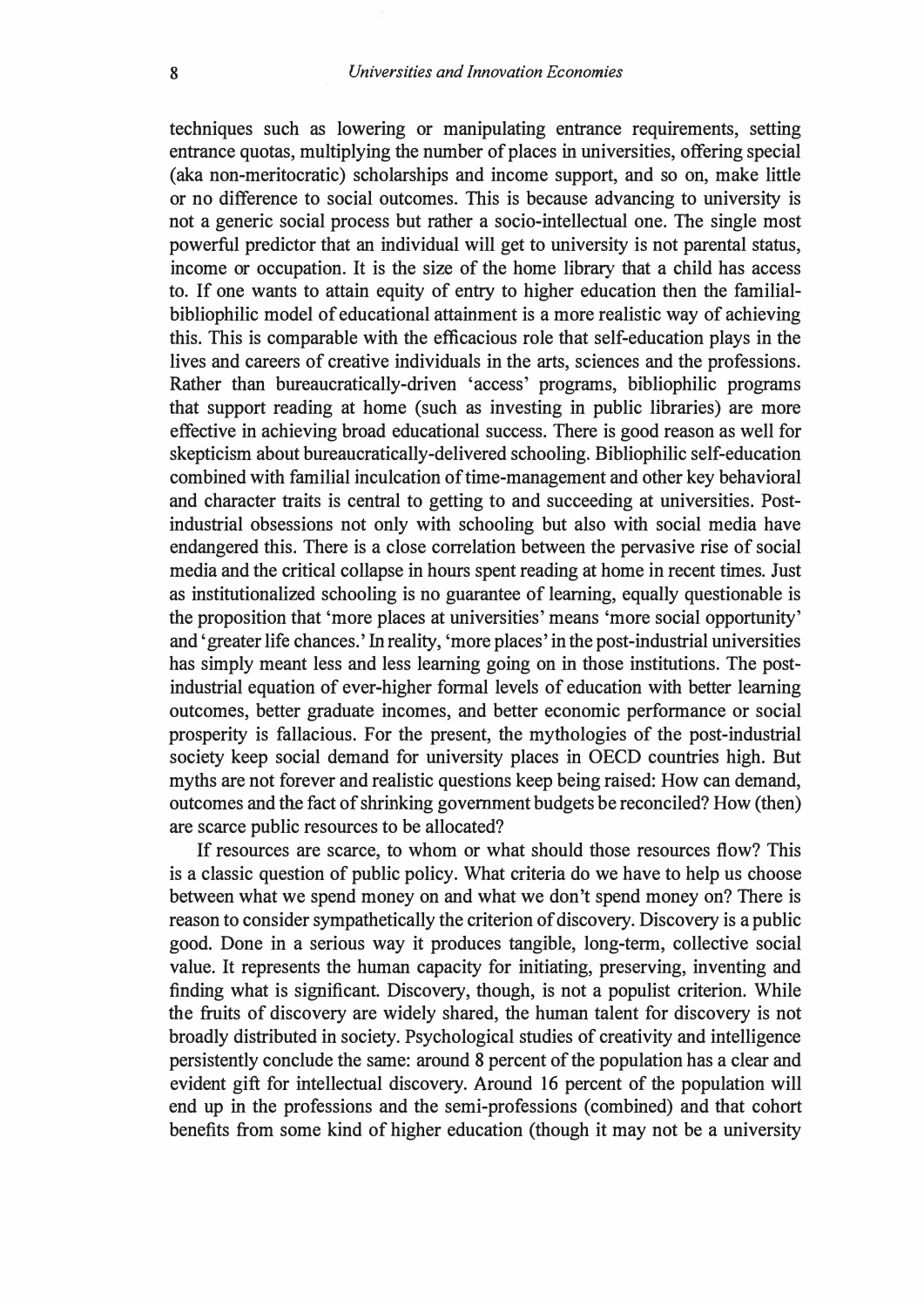techniques such as lowering or manipulating entrance requirements, setting entrance quotas, multiplying the number of places in universities, offering special (aka non-meritocratic) scholarships and income support, and so on, make little or no difference to social outcomes. This is because advancing to university is not a generic social process but rather a socio-intellectual one. The single most powerful predictor that an individual will get to university is not parental status, income or occupation. It is the size of the home library that a child has access to. If one wants to attain equity of entry to higher education then the familialbibliophilic model of educational attainment is a more realistic way of achieving this. This is comparable with the efficacious role that self-education plays in the lives and careers of creative individuals in the arts, sciences and the professions. Rather than bureaucratically-driven 'access' programs, bibliophilic programs that support reading at home (such as investing in public libraries) are more effective in achieving broad educational success. There is good reason as well for skepticism about bureaucratically-delivered schooling. Bibliophilic self-education combined with familial inculcation of time-management and other key behavioral and character traits is central to getting to and succeeding at universities. Postindustrial obsessions not only with schooling but also with social media have endangered this. There is a close correlation between the pervasive rise of social media and the critical collapse in hours spent reading at home in recent times. Just as institutionalized schooling is no guarantee of learning, equally questionable is the proposition that 'more places at universities' means 'more social opportunity' and' greater life chances.' In reality, 'more places' in the post-industrial universities has simply meant less and less learning going on in those institutions. The postindustrial equation of ever-higher formal levels of education with better learning outcomes, better graduate incomes, and better economic performance or social prosperity is fallacious. For the present, the mythologies of the post-industrial society keep social demand for university places in OECD countries high. But myths are not forever and realistic questions keep being raised: How can demand, outcomes and the fact of shrinking government budgets be reconciled? How (then) are scarce public resources to be allocated?

If resources are scarce, to whom or what should those resources flow? This is a classic question of public policy. What criteria do we have to help us choose between what we spend money on and what we don't spend money on? There is reason to consider sympathetically the criterion of discovery. Discovery is a public good. Done in a serious way it produces tangible, long-term, collective social value. It represents the human capacity for initiating, preserving, inventing and finding what is significant. Discovery, though, is not a populist criterion. While the fruits of discovery are widely shared, the human talent for discovery is not broadly distributed in society. Psychological studies of creativity and intelligence persistently conclude the same: around 8 percent of the population has a clear and evident gift for intellectual discovery. Around 16 percent of the population will end up in the professions and the semi-professions (combined) and that cohort benefits from some kind of higher education (though it may not be a university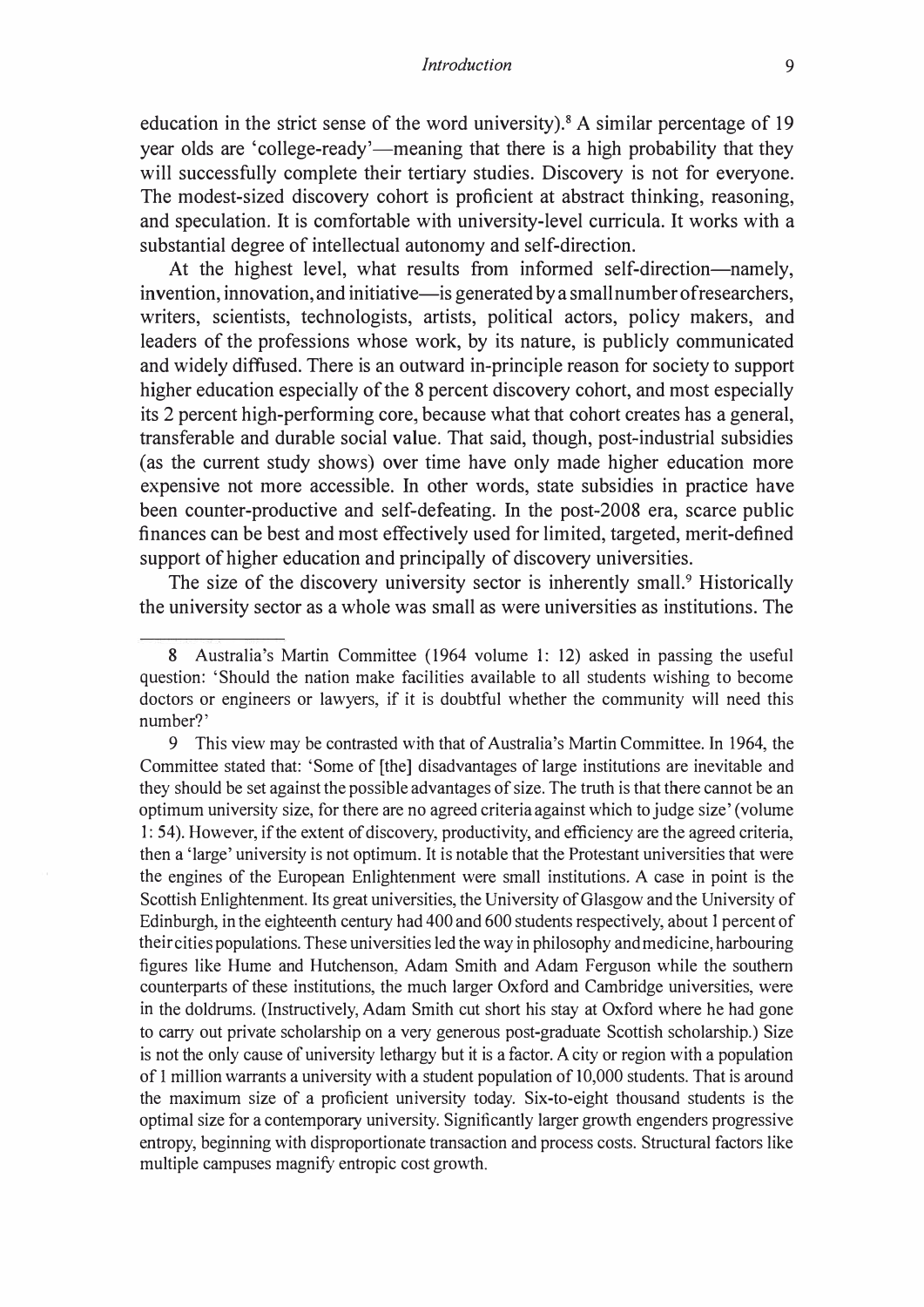education in the strict sense of the word university).<sup>8</sup> A similar percentage of 19 year olds are 'college-ready'—meaning that there is a high probability that they will successfully complete their tertiary studies. Discovery is not for everyone. The modest-sized discovery cohort is proficient at abstract thinking, reasoning, and speculation. It is comfortable with university-level curricula. It works with a substantial degree of intellectual autonomy and self-direction.

At the highest level, what results from informed self-direction—namely, invention, innovation, and initiative—is generated by a small number of researchers, writers, scientists, technologists, artists, political actors, policy makers, and leaders of the professions whose work, by its nature, is publicly communicated and widely diffused. There is an outward in-principle reason for society to support higher education especially of the 8 percent discovery cohort, and most especially its 2 percent high-performing core, because what that cohort creates has a general, transferable and durable social value. That said, though, post-industrial subsidies (as the current study shows) over time have only made higher education more expensive not more accessible. In other words, state subsidies in practice have been counter-productive and self-defeating. In the post-2008 era, scarce public finances can be best and most effectively used for limited, targeted, merit-defined support of higher education and principally of discovery universities.

The size of the discovery university sector is inherently small.<sup>9</sup> Historically the university sector as a whole was small as were universities as institutions. The

<sup>8</sup> Australia's Martin Committee (1964 volume I: 12) asked in passing the useful question: 'Should the nation make facilities available to all students wishing to become doctors or engineers or lawyers, if it is doubtful whether the community will need this number?'

<sup>9</sup> This view may be contrasted with that of Australia's Martin Committee. In 1964, the Committee stated that: 'Some of [the] disadvantages of large institutions are inevitable and they should be set against the possible advantages of size. The truth is that there cannot be an optimum university size, for there are no agreed criteria against which to judge size' (volume I: 54). However, if the extent of discovery, productivity, and efficiency are the agreed criteria, then a 'large' university is not optimum. It is notable that the Protestant universities that were the engines of the European Enlightenment were small institutions. A case in point is the Scottish Enlightenment. Its great universities, the University of Glasgow and the University of Edinburgh, in the eighteenth century had 400 and 600 students respectively, about I percent of their cities populations. These universities led the way in philosophy and medicine, harbouring figures like Hume and Hutchenson, Adam Smith and Adam Ferguson while the southern counterparts of these institutions, the much larger Oxford and Cambridge universities, were in the doldrums. (Instructively, Adam Smith cut short his stay at Oxford where he had gone to carry out private scholarship on a very generous post-graduate Scottish scholarship.) Size is not the only cause of university lethargy but it is a factor. A city or region with a population of 1 million warrants a university with a student population of 10,000 students. That is around the maximum size of a proficient university today. Six-to-eight thousand students is the optimal size for a contemporary university. Significantly larger growth engenders progressive entropy, beginning with disproportionate transaction and process costs. Structural factors like multiple campuses magnify entropic cost growth.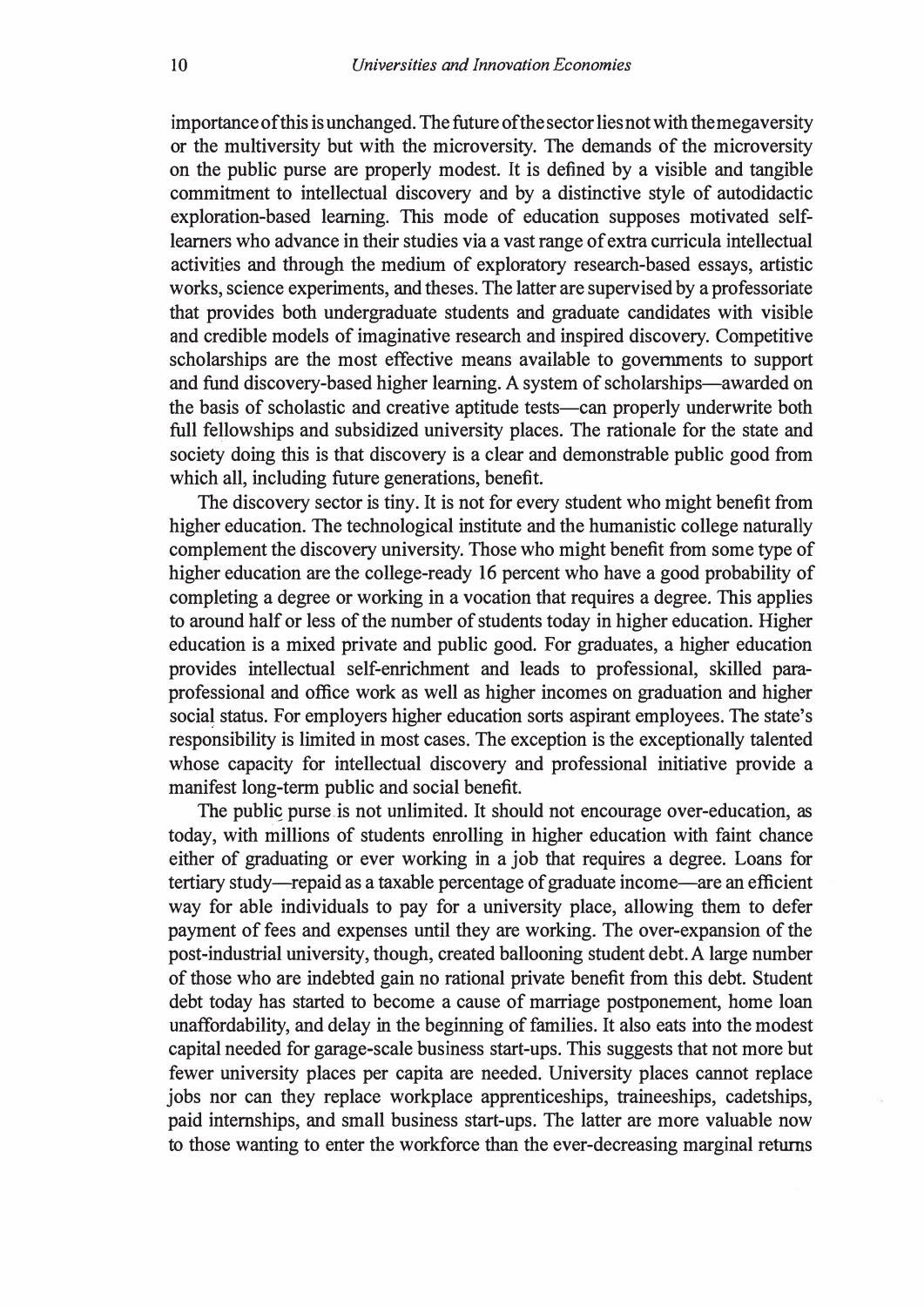importance of this is unchanged. The future of the sector lies not with themegaversity or the multiversity but with the microversity. The demands of the microversity on the public purse are properly modest. It is defined by a visible and tangible commitment to intellectual discovery and by a distinctive style of autodidactic exploration-based learning. This mode of education supposes motivated selflearners who advance in their studies via a vast range of extra curricula intellectual activities and through the medium of exploratory research-based essays, artistic works, science experiments, and theses. The latter are supervised by a professoriate that provides both undergraduate students and graduate candidates with visible and credible models of imaginative research and inspired discovery. Competitive scholarships are the most effective means available to governments to support and fund discovery-based higher learning. A system of scholarships-awarded on the basis of scholastic and creative aptitude tests—can properly underwrite both full fellowships and subsidized university places. The rationale for the state and society doing this is that discovery is a clear and demonstrable public good from which all, including future generations, benefit.

The discovery sector is tiny. It is not for every student who might benefit from higher education. The technological institute and the humanistic college naturally complement the discovery university. Those who might benefit from some type of higher education are the college-ready 16 percent who have a good probability of completing a degree or working in a vocation that requires a degree. This applies to around half or less of the number of students today in higher education. Higher education is a mixed private and public good. For graduates, a higher education provides intellectual self-enrichment and leads to professional, skilled paraprofessional and office work as well as higher incomes on graduation and higher social status. For employers higher education sorts aspirant employees. The state's responsibility is limited in most cases. The exception is the exceptionally talented whose capacity for intellectual discovery and professional initiative provide a manifest long-term public and social benefit.

The public purse is not unlimited. It should not encourage over-education, as today, with millions of students enrolling in higher education with faint chance either of graduating or ever working in a job that requires a degree. Loans for tertiary study—repaid as a taxable percentage of graduate income—are an efficient way for able individuals to pay for a university place, allowing them to defer payment of fees and expenses until they are working. The over-expansion of the post-industrial university, though, created ballooning student debt. A large number of those who are indebted gain no rational private benefit from this debt. Student debt today has started to become a cause of marriage postponement, home loan unaffordability, and delay in the beginning of families. It also eats into the modest capital needed for garage-scale business start-ups. This suggests that not more but fewer university places per capita are needed. University places cannot replace jobs nor can they replace workplace apprenticeships, traineeships, cadetships, paid internships, and small business start-ups. The latter are more valuable now to those wanting to enter the workforce than the ever-decreasing marginal returns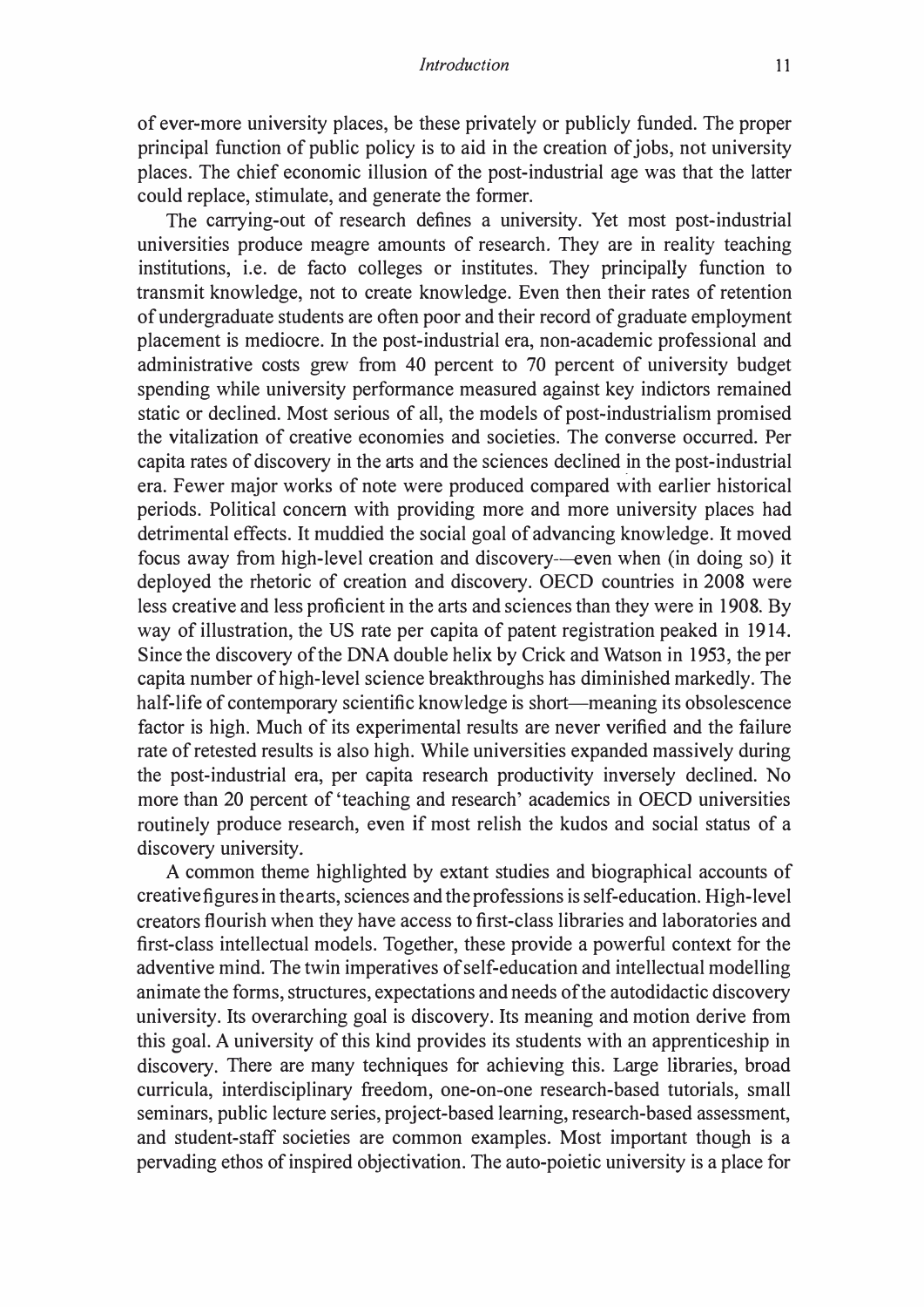of ever-more university places, be these privately or publicly funded. The proper principal function of public policy is to aid in the creation of jobs, not university places. The chief economic illusion of the post-industrial age was that the latter could replace, stimulate, and generate the former.

The carrying-out of research defines a university. Yet most post-industrial universities produce meagre amounts of research. They are in reality teaching institutions, i.e. de facto colleges or institutes. They principally function to transmit knowledge, not to create knowledge. Even then their rates of retention of undergraduate students are often poor and their record of graduate employment placement is mediocre. In the post-industrial era, non-academic professional and administrative costs grew from 40 percent to 70 percent of university budget spending while university performance measured against key indictors remained static or declined. Most serious of all, the models of post-industrialism promised the vitalization of creative economies and societies. The converse occurred. Per capita rates of discovery in the arts and the sciences declined \_in the post-industrial era. Fewer major works of note were produced compared with earlier historical periods. Political concern with providing more and more university places had detrimental effects. It muddied the social goal of advancing knowledge. It moved focus away from high-level creation and discovery—even when (in doing so) it deployed the rhetoric of creation and discovery. OECD countries in 2008 were less creative and less proficient in the arts and sciences than they were in 1908. By way of illustration, the US rate per capita of patent registration peaked in 19 14. Since the discovery of the DNA double helix by Crick and Watson in 1953, the per capita number of high-level science breakthroughs has diminished markedly. The half-life of contemporary scientific knowledge is short—meaning its obsolescence factor is high. Much of its experimental results are never verified and the failure rate of retested results is also high. While universities expanded massively during the post-industrial era, per capita research productivity inversely declined. No more than 20 percent of 'teaching and research' academics in OECD universities routinely produce research, even if most relish the kudos and social status of a discovery university.

A common theme highlighted by extant studies and biographical accounts of creative figures in the arts, sciences and the professions is self-education. High-level creators flourish when they have access to first-class libraries and laboratories and first-class intellectual models. Together, these provide a powerful context for the adventive mind. The twin imperatives of self-education and intellectual modelling animate the forms, structures, expectations and needs of the autodidactic discovery university. Its overarching goal is discovery. Its meaning and motion derive from this goal. A university of this kind provides its students with an apprenticeship in discovery. There are many techniques for achieving this. Large libraries, broad curricula, interdisciplinary freedom, one-on-one research-based tutorials, small seminars, public lecture series, project-based learning, research-based assessment, and student-staff societies are common examples. Most important though is a pervading ethos of inspired objectivation. The auto-poietic university is a place for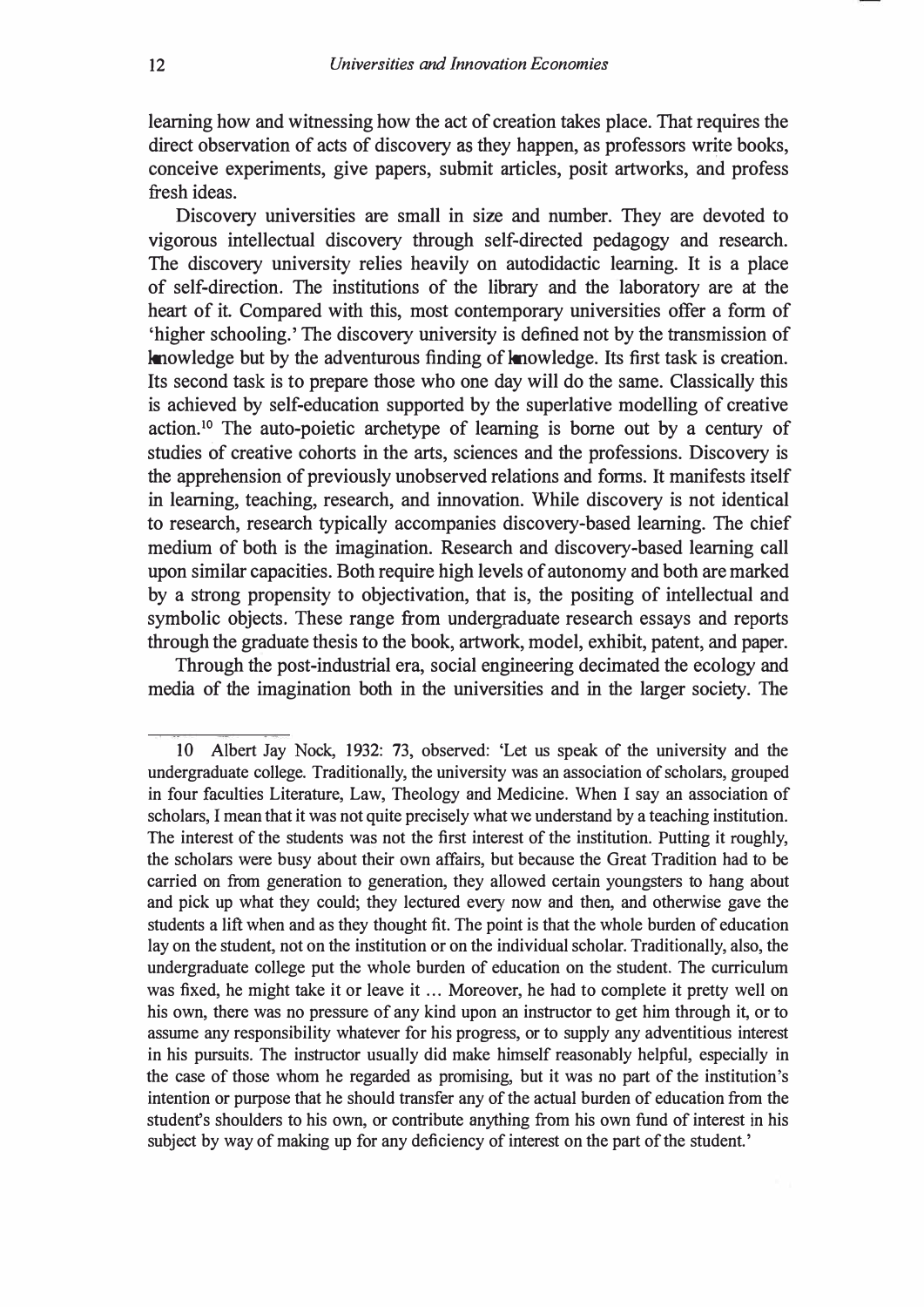learning how and witnessing how the act of creation takes place. That requires the direct observation of acts of discovery as they happen, as professors write books, conceive experiments, give papers, submit articles, posit artworks, and profess fresh ideas.

Discovery universities are small in size and number. They are devoted to vigorous intellectual discovery through self-directed pedagogy and research. The discovery university relies heavily on autodidactic learning. It is a place of self-direction. The institutions of the library and the laboratory are at the heart of it. Compared with this, most contemporary universities offer a form of 'higher schooling.' The discovery university is defined not by the transmission of knowledge but by the adventurous finding of knowledge. Its first task is creation. Its second task is to prepare those who one day will do the same. Classically this is achieved by self-education supported by the superlative modelling of creative action.10 The auto-poietic archetype of learning is borne out by a century of studies of creative cohorts in the arts, sciences and the professions. Discovery is the apprehension of previously unobserved relations and forms. It manifests itself in learning, teaching, research, and innovation. While discovery is not identical to research, research typically accompanies discovery-based learning. The chief medium of both is the imagination. Research and discovery-based learning call upon similar capacities. Both require high levels of autonomy and both are marked by a strong propensity to objectivation, that is, the positing of intellectual and symbolic objects. These range from undergraduate research essays and reports through the graduate thesis to the book, artwork, model, exhibit, patent, and paper.

Through the post-industrial era, social engineering decimated the ecology and media of the imagination both in the universities and in the larger society. The

<sup>10</sup> Albert Jay Nock, 1932: 73, observed: 'Let us speak of the university and the undergraduate college. Traditionally, the university was an association of scholars, grouped in four faculties Literature, Law, Theology and Medicine. When I say an association of scholars, I mean that it was not quite precisely what we understand by a teaching institution. The interest of the students was not the first interest of the institution. Putting it roughly, the scholars were busy about their own affairs, but because the Great Tradition had to be carried on from generation to generation, they allowed certain youngsters to hang about and pick up what they could; they lectured every now and then, and otherwise gave the students a lift when and as they thought fit. The point is that the whole burden of education lay on the student, not on the institution or on the individual scholar. Traditionally, also, the undergraduate college put the whole burden of education on the student. The curriculum was fixed, he might take it or leave it ... Moreover, he had to complete it pretty well on his own, there was no pressure of any kind upon an instructor to get him through it, or to assume any responsibility whatever for his progress, or to supply any adventitious interest in his pursuits. The instructor usually did make himself reasonably helpful, especially in the case of those whom he regarded as promising, but it was no part of the institution's intention or purpose that he should transfer any of the actual burden of education from the student's shoulders to his own, or contribute anything from his own fund of interest in his subject by way of making up for any deficiency of interest on the part of the student.'